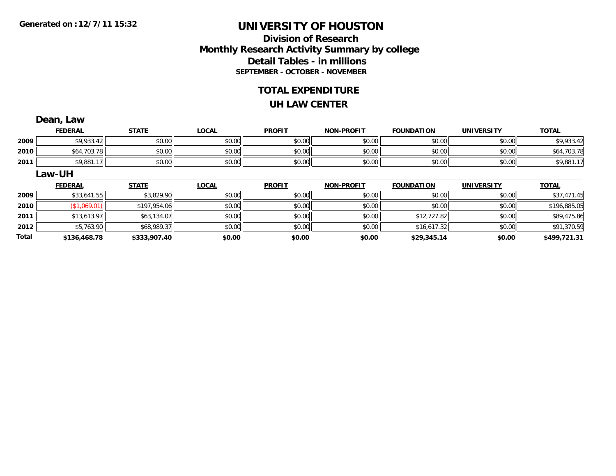### **Division of ResearchMonthly Research Activity Summary by college Detail Tables - in millions SEPTEMBER - OCTOBER - NOVEMBER**

#### **TOTAL EXPENDITURE**

#### **UH LAW CENTER**

|              | Dean, Law      |              |              |               |                   |                   |                   |              |
|--------------|----------------|--------------|--------------|---------------|-------------------|-------------------|-------------------|--------------|
|              | <b>FEDERAL</b> | <b>STATE</b> | <b>LOCAL</b> | <b>PROFIT</b> | <b>NON-PROFIT</b> | <b>FOUNDATION</b> | <b>UNIVERSITY</b> | <b>TOTAL</b> |
| 2009         | \$9,933.42     | \$0.00       | \$0.00       | \$0.00        | \$0.00            | \$0.00            | \$0.00            | \$9,933.42   |
| 2010         | \$64,703.78    | \$0.00       | \$0.00       | \$0.00        | \$0.00            | \$0.00            | \$0.00            | \$64,703.78  |
| 2011         | \$9,881.17     | \$0.00       | \$0.00       | \$0.00        | \$0.00            | \$0.00            | \$0.00            | \$9,881.17   |
|              | <b>Law-UH</b>  |              |              |               |                   |                   |                   |              |
|              | <b>FEDERAL</b> | <b>STATE</b> | <b>LOCAL</b> | <b>PROFIT</b> | <b>NON-PROFIT</b> | <b>FOUNDATION</b> | <b>UNIVERSITY</b> | <b>TOTAL</b> |
| 2009         | \$33,641.55    | \$3,829.90   | \$0.00       | \$0.00        | \$0.00            | \$0.00            | \$0.00            | \$37,471.45  |
| 2010         | (\$1,069.01)   | \$197,954.06 | \$0.00       | \$0.00        | \$0.00            | \$0.00            | \$0.00            | \$196,885.05 |
| 2011         | \$13,613.97    | \$63,134.07  | \$0.00       | \$0.00        | \$0.00            | \$12,727.82       | \$0.00            | \$89,475.86  |
| 2012         | \$5,763.90     | \$68,989.37  | \$0.00       | \$0.00        | \$0.00            | \$16,617.32       | \$0.00            | \$91,370.59  |
| <b>Total</b> | \$136.468.78   | \$333.907.40 | \$0.00       | \$0.00        | \$0.00            | \$29.345.14       | \$0.00            | \$499.721.31 |

**\$136,468.78 \$333,907.40 \$0.00 \$0.00 \$0.00 \$29,345.14 \$0.00 \$499,721.31**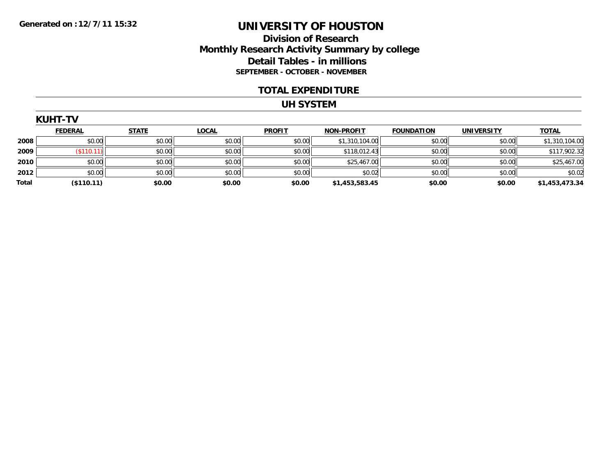### **Division of Research Monthly Research Activity Summary by college Detail Tables - in millions SEPTEMBER - OCTOBER - NOVEMBER**

#### **TOTAL EXPENDITURE**

#### **UH SYSTEM**

|       | <b>FEDERAL</b> | <b>STATE</b> | <b>LOCAL</b> | <b>PROFIT</b> | <b>NON-PROFIT</b> | <b>FOUNDATION</b> | <b>UNIVERSITY</b> | <b>TOTAL</b>   |
|-------|----------------|--------------|--------------|---------------|-------------------|-------------------|-------------------|----------------|
| 2008  | \$0.00         | \$0.00       | \$0.00       | \$0.00        | \$1,310,104.00    | \$0.00            | \$0.00            | \$1,310,104.00 |
| 2009  | (\$110.11)     | \$0.00       | \$0.00       | \$0.00        | \$118,012.43      | \$0.00            | \$0.00            | \$117,902.32   |
| 2010  | \$0.00         | \$0.00       | \$0.00       | \$0.00        | \$25,467.00       | \$0.00            | \$0.00            | \$25,467.00    |
| 2012  | \$0.00         | \$0.00       | \$0.00       | \$0.00        | \$0.02            | \$0.00            | \$0.00            | \$0.02         |
| Total | (\$110.11)     | \$0.00       | \$0.00       | \$0.00        | \$1,453,583.45    | \$0.00            | \$0.00            | \$1,453,473.34 |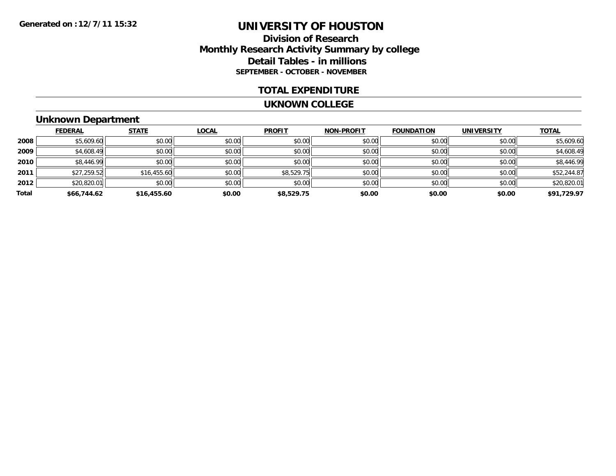### **Division of ResearchMonthly Research Activity Summary by college Detail Tables - in millions SEPTEMBER - OCTOBER - NOVEMBER**

#### **TOTAL EXPENDITURE**

#### **UKNOWN COLLEGE**

### **Unknown Department**

|       | <b>FEDERAL</b> | <b>STATE</b> | <b>LOCAL</b> | <b>PROFIT</b> | <b>NON-PROFIT</b> | <b>FOUNDATION</b> | <b>UNIVERSITY</b> | <b>TOTAL</b> |
|-------|----------------|--------------|--------------|---------------|-------------------|-------------------|-------------------|--------------|
| 2008  | \$5,609.60     | \$0.00       | \$0.00       | \$0.00        | \$0.00            | \$0.00            | \$0.00            | \$5,609.60   |
| 2009  | \$4,608.49     | \$0.00       | \$0.00       | \$0.00        | \$0.00            | \$0.00            | \$0.00            | \$4,608.49   |
| 2010  | \$8,446.99     | \$0.00       | \$0.00       | \$0.00        | \$0.00            | \$0.00            | \$0.00            | \$8,446.99   |
| 2011  | \$27,259.52    | \$16,455.60  | \$0.00       | \$8,529.75    | \$0.00            | \$0.00            | \$0.00            | \$52,244.87  |
| 2012  | \$20,820.01    | \$0.00       | \$0.00       | \$0.00        | \$0.00            | \$0.00            | \$0.00            | \$20,820.01  |
| Total | \$66,744.62    | \$16,455.60  | \$0.00       | \$8,529.75    | \$0.00            | \$0.00            | \$0.00            | \$91,729.97  |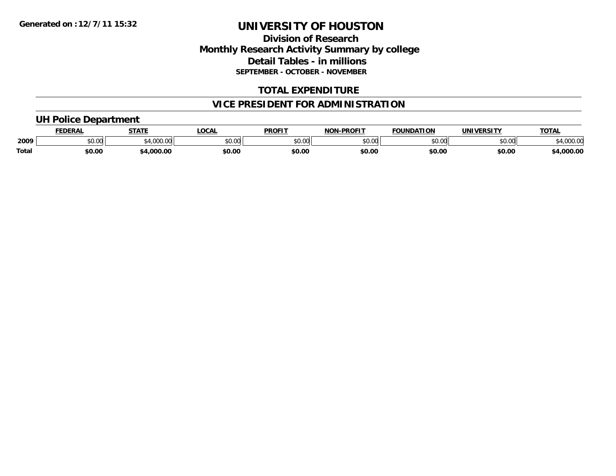### **Division of ResearchMonthly Research Activity Summary by college Detail Tables - in millions SEPTEMBER - OCTOBER - NOVEMBER**

### **TOTAL EXPENDITURE**

### **VICE PRESIDENT FOR ADMINISTRATION**

### **UH Police Department**

|              | <b>FEDERAL</b> | <b>STATE</b>             | LOCAI                                       | <b>PROFIT</b> | <b>A-PROFIT</b><br><b>NON</b> | <b>FOUNDATION</b> | <b>UNIVERSITY</b> | <b>TOTAL</b>     |
|--------------|----------------|--------------------------|---------------------------------------------|---------------|-------------------------------|-------------------|-------------------|------------------|
| 2009         | JU.UU          | $\sim$ 4.000.00<br>uuu.u | $\mathfrak{c}\cap\mathfrak{c}\cap$<br>JU.UU | ልስ ሰሰ<br>ט.טע | \$0.00                        | $\cdots$<br>JU.UU | \$0.00            | 00000<br>4.UUU.U |
| <b>Total</b> | \$0.00         | 4.000.00                 | \$0.00                                      | \$0.00        | \$0.00                        | \$0.00            | \$0.00            | 4,000.00         |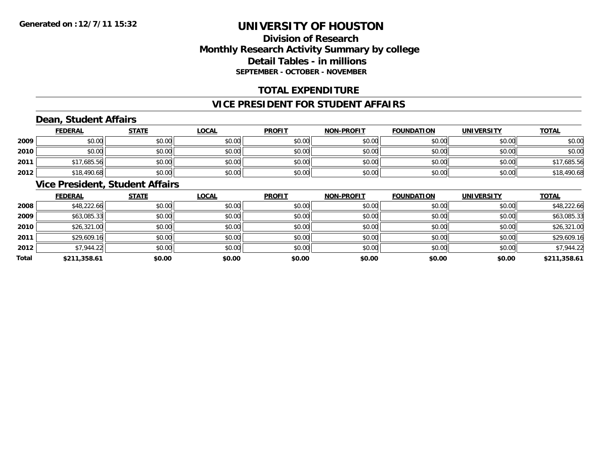### **Division of ResearchMonthly Research Activity Summary by college Detail Tables - in millions SEPTEMBER - OCTOBER - NOVEMBER**

### **TOTAL EXPENDITURE**

### **VICE PRESIDENT FOR STUDENT AFFAIRS**

### **Dean, Student Affairs**

|      | <b>FEDERAL</b> | <b>STATE</b> | <u>LOCAL</u> | <b>PROFIT</b> | <b>NON-PROFIT</b> | <b>FOUNDATION</b> | <b>UNIVERSITY</b> | <b>TOTAL</b> |
|------|----------------|--------------|--------------|---------------|-------------------|-------------------|-------------------|--------------|
| 2009 | \$0.00         | \$0.00       | \$0.00       | \$0.00        | \$0.00            | \$0.00            | \$0.00            | \$0.00       |
| 2010 | \$0.00         | \$0.00       | \$0.00       | \$0.00        | \$0.00            | \$0.00            | \$0.00            | \$0.00       |
| 2011 | \$17,685.56    | \$0.00       | \$0.00       | \$0.00        | \$0.00            | \$0.00            | \$0.00            | \$17,685.56  |
| 2012 | \$18,490.68    | \$0.00       | \$0.00       | \$0.00        | \$0.00            | \$0.00            | \$0.00            | \$18,490.68  |

#### **Vice President, Student Affairs**

|       | <b>FEDERAL</b> | <b>STATE</b> | <b>LOCAL</b> | <b>PROFIT</b> | <b>NON-PROFIT</b> | <b>FOUNDATION</b> | <b>UNIVERSITY</b> | <b>TOTAL</b> |
|-------|----------------|--------------|--------------|---------------|-------------------|-------------------|-------------------|--------------|
| 2008  | \$48,222.66    | \$0.00       | \$0.00       | \$0.00        | \$0.00            | \$0.00            | \$0.00            | \$48,222.66  |
| 2009  | \$63,085.33    | \$0.00       | \$0.00       | \$0.00        | \$0.00            | \$0.00            | \$0.00            | \$63,085.33  |
| 2010  | \$26,321.00    | \$0.00       | \$0.00       | \$0.00        | \$0.00            | \$0.00            | \$0.00            | \$26,321.00  |
| 2011  | \$29,609.16    | \$0.00       | \$0.00       | \$0.00        | \$0.00            | \$0.00            | \$0.00            | \$29,609.16  |
| 2012  | \$7,944.22     | \$0.00       | \$0.00       | \$0.00        | \$0.00            | \$0.00            | \$0.00            | \$7,944.22   |
| Total | \$211,358.61   | \$0.00       | \$0.00       | \$0.00        | \$0.00            | \$0.00            | \$0.00            | \$211,358.61 |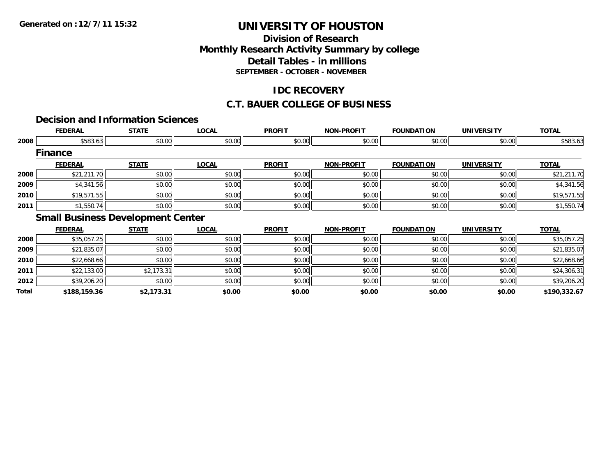### **Division of ResearchMonthly Research Activity Summary by college Detail Tables - in millions SEPTEMBER - OCTOBER - NOVEMBER**

### **IDC RECOVERY**

### **C.T. BAUER COLLEGE OF BUSINESS**

#### **Decision and Information Sciences**

|      | <b>FEDERAL</b> | <b>STATE</b>                             | <b>LOCAL</b> | <b>PROFIT</b> | <b>NON-PROFIT</b> | <b>FOUNDATION</b> | <b>UNIVERSITY</b> | <b>TOTAL</b> |
|------|----------------|------------------------------------------|--------------|---------------|-------------------|-------------------|-------------------|--------------|
| 2008 | \$583.63       | \$0.00                                   | \$0.00       | \$0.00        | \$0.00            | \$0.00            | \$0.00            | \$583.63     |
|      | <b>Finance</b> |                                          |              |               |                   |                   |                   |              |
|      | <b>FEDERAL</b> | <b>STATE</b>                             | <b>LOCAL</b> | <b>PROFIT</b> | <b>NON-PROFIT</b> | <b>FOUNDATION</b> | <b>UNIVERSITY</b> | <b>TOTAL</b> |
| 2008 | \$21,211.70    | \$0.00                                   | \$0.00       | \$0.00        | \$0.00            | \$0.00            | \$0.00            | \$21,211.70  |
| 2009 | \$4,341.56     | \$0.00                                   | \$0.00       | \$0.00        | \$0.00            | \$0.00            | \$0.00            | \$4,341.56   |
| 2010 | \$19,571.55    | \$0.00                                   | \$0.00       | \$0.00        | \$0.00            | \$0.00            | \$0.00            | \$19,571.55  |
| 2011 | \$1,550.74     | \$0.00                                   | \$0.00       | \$0.00        | \$0.00            | \$0.00            | \$0.00            | \$1,550.74   |
|      |                | <b>Small Business Development Center</b> |              |               |                   |                   |                   |              |
|      | <b>FEDERAL</b> | <b>STATE</b>                             | <b>LOCAL</b> | <b>PROFIT</b> | <b>NON-PROFIT</b> | <b>FOUNDATION</b> | <b>UNIVERSITY</b> | <b>TOTAL</b> |
| 2008 | \$35,057.25    | \$0.00                                   | \$0.00       | \$0.00        | \$0.00            | \$0.00            | \$0.00            | \$35,057.25  |

| Total | \$188,159.36 | \$2,173.31 | \$0.00 | \$0.00 | \$0.00 | \$0.00 | \$0.00 | \$190,332.67 |
|-------|--------------|------------|--------|--------|--------|--------|--------|--------------|
| 2012  | \$39,206.20  | \$0.00     | \$0.00 | \$0.00 | \$0.00 | \$0.00 | \$0.00 | \$39,206.20  |
| 2011  | \$22,133.00  | \$2,173.31 | \$0.00 | \$0.00 | \$0.00 | \$0.00 | \$0.00 | \$24,306.31  |
| 2010  | \$22,668.66  | \$0.00     | \$0.00 | \$0.00 | \$0.00 | \$0.00 | \$0.00 | \$22,668.66  |
| 2009  | \$21,835.07  | \$0.00     | \$0.00 | \$0.00 | \$0.00 | \$0.00 | \$0.00 | \$21,835.07  |
| 2008  | \$35,057.25  | \$0.00     | \$0.00 | \$0.00 | \$0.00 | \$0.00 | \$0.00 | \$35,057.25  |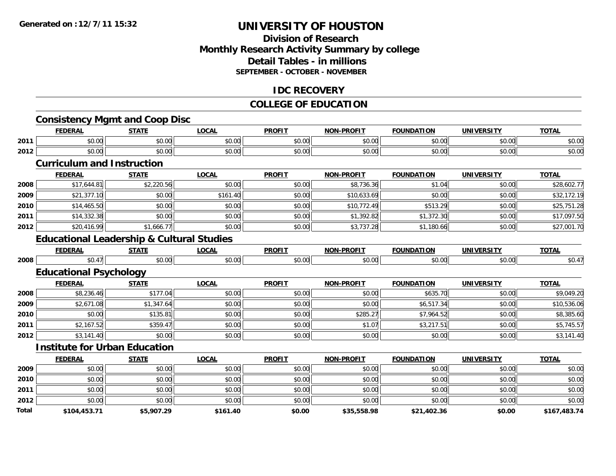**Total**

### **UNIVERSITY OF HOUSTON**

### **Division of ResearchMonthly Research Activity Summary by college Detail Tables - in millionsSEPTEMBER - OCTOBER - NOVEMBER**

#### **IDC RECOVERY**

#### **COLLEGE OF EDUCATION**

#### **Consistency Mgmt and Coop Disc FEDERAL STATE LOCAL PROFIT NON-PROFIT FOUNDATION UNIVERSITY TOTAL 2011** $\textbf{1} \hspace{.2cm} \text{$60.00cm$} \hspace{1.5cm} \text{$60.00cm$} \hspace{1.5cm} \text{$60.00cm$} \hspace{1.5cm} \text{$60.00cm$} \hspace{1.5cm} \text{$60.00cm$} \hspace{1.5cm} \text{$60.00cm$} \hspace{1.5cm} \text{$60.00cm$} \hspace{1.5cm} \text{$60.00cm$} \hspace{1.5cm} \text{$60.00cm$} \hspace{1.5cm} \text{$60.00cm$} \hspace{1$ **2012** $\textbf{2} \hspace{1cm} |\hspace{1.5cm}|\hspace{1.5cm} 50.00| \hspace{1.5cm} 50.00| \hspace{1.5cm} 50.00| \hspace{1.5cm} 50.00| \hspace{1.5cm} 50.00| \hspace{1.5cm} 50.00| \hspace{1.5cm} 50.00| \hspace{1.5cm} 50.00| \hspace{1.5cm} 50.00| \hspace{1.5cm} 50.00| \hspace{1.5cm} 50.00| \hspace{1.5cm} 50.00| \hspace{1.$ **Curriculum and InstructionFEDERAL STATE LOCAL PROFIT NON-PROFIT FOUNDATION UNIVERSITY TOTAL 2008** $\bf 8 \left| \right. \qquad \qquad \left. \ast 17,644.81 \right| \qquad \qquad \left. \ast 220.56 \right| \qquad \qquad \left. \ast 0.00 \right| \qquad \qquad \left. \ast 8.736.36 \right| \qquad \qquad \left. \ast 1.04 \right| \qquad \qquad \left. \ast 0.00 \right| \qquad \qquad \left. \ast 28,602.77 \right| \qquad \qquad \left. \ast 1.04 \right| \qquad \qquad \left. \ast 2.056 \left( 1.04 \right) \right| \qquad \qquad \left. \ast$ **2009** $\textbf{9} \hspace{15mm} \text{$82,172.19$} \hspace{10mm} \text{$80.00]} \hspace{10mm} \text{$810,633.69]} \hspace{10mm} \text{$80.00]} \hspace{10mm} \text{$80.00]} \hspace{10mm} \text{$83,172.19}$ **2010** $\textsf{\textbf{0}} \mid \textsf{\textbf{0}} \mid \textsf{\textbf{0}}$  \$14,465.50  $|\textsf{\textbf{0}}|$  \$0.00 \$0.00 \$0.00 \$0.00 \$10,772.49 \$513.29 \$0.00 \$0.00 \$25,751.28 **2011** $\textbf{1} \hspace{14mm} \text{\small{[1]}} \hspace{14mm} \text{\small{[1]}} \hspace{14mm} \text{\small{[1]}} \hspace{14mm} \text{\small{[1]}} \hspace{14mm} \text{\small{[1]}} \hspace{14mm} \text{\small{[1]}} \hspace{14mm} \text{\small{[1]}} \hspace{14mm} \text{\small{[1]}} \hspace{14mm} \text{\small{[1]}} \hspace{14mm} \text{\small{[1]}} \hspace{14mm} \text{\small{[1]}} \hspace{14mm} \text{\small{[1]}} \hspace{14mm} \text$ **2012** $\textbf{2} \quad \text{ $3,737.28$} \quad \text{ $3,737.28$} \quad \text{ $3,737.28$} \quad \text{ $3,730.66$} \quad \text{ $3,80.00$} \quad \text{ $3,80.00$} \quad \text{ $3,80.00$} \quad \text{ $3,90.00$} \quad \text{ $3,90.00$} \quad \text{ $3,90.00$} \quad \text{ $3,90.00$} \quad \text{ $3,90.00$} \quad \text{ $3,90.00$} \quad \text{ $3,90.00$}$ **Educational Leadership & Cultural Studies FEDERAL STATE LOCAL PROFIT NON-PROFIT FOUNDATION UNIVERSITY TOTAL 20088** \$0.47 \$0.00 \$0.00 \$0.00 \$0.00 \$0.00 \$0.00 \$0.00 \$0.00 \$0.00 \$0.00 \$0.00 \$0.00 \$0.00 \$0.47 **Educational Psychology FEDERAL STATE LOCAL PROFIT NON-PROFIT FOUNDATION UNIVERSITY TOTAL 2008**8 \$8,236.46 \$177.04 \$177.04 \$0.00 \$0.00 \$0.00 \$0.00 \$0.00 \$0.00 \$635.70 \$635.70 \$0.00 \$9,049.20 **2009** $\textbf{9} \quad \textbf{\textcolor{blue}{87.547.64}} \quad \textbf{\textcolor{blue}{89.536.06}} \quad \textbf{\textcolor{blue}{89.536.06}} \quad \textbf{\textcolor{blue}{89.547.54}} \quad \textbf{\textcolor{blue}{89.547.54}} \quad \textbf{\textcolor{blue}{89.547.54}} \quad \textbf{\textcolor{blue}{89.547.54}} \quad \textbf{\textcolor{blue}{89.547.54}} \quad \textbf{\textcolor{blue}{89.547.54}} \quad \textbf{\textcolor{blue}{89.547.54}} \quad \text$ **2010** $\textsf{\textbf{0}} \mid \textsf{\textbf{0}} \mid \textsf{\textbf{0}}$  \$0.00 \$135.81 \$135.81 \$0.00 \$0.00 \$0.00 \$0.00 \$2.00 \$2.385.60 \$7,964.52 \$0.00 \$8,385.60 **2011** $\textbf{1} \hspace{15.5mm} \text{$32,167.52$} \hspace{10.5mm} \text{$3359.47$} \hspace{10.5mm} \text{$3359.47$} \hspace{10.5mm} \text{$3357.45.57$} \hspace{10.5mm} \text{$338.57$} \hspace{10.5mm} \text{$338.57$} \hspace{10.5mm} \text{$338.57$} \hspace{10.5mm} \text{$338.57$} \hspace{10.5mm} \text{$338.57$} \hspace{10.$ **2012** $\textbf{2} \quad \textcolor{red}{\textbf{3.141.40}} \quad \textcolor{red}{\textbf{5.3141.40}} \quad \textcolor{red}{\textbf{5.3141.40}} \quad \textcolor{red}{\textbf{5.3141.40}} \quad \textcolor{red}{\textbf{5.3141.40}} \quad \textcolor{red}{\textbf{5.3141.40}} \quad \textcolor{red}{\textbf{5.3141.40}} \quad \textcolor{red}{\textbf{5.3141.40}} \quad \textcolor{red}{\textbf{5.3141.40}} \quad \textcolor{red}{\textbf{5.314$ **Institute for Urban EducationFEDERAL STATE LOCAL PROFIT NON-PROFIT FOUNDATION UNIVERSITY TOTAL 2009** \$0.00 \$0.00 \$0.00 \$0.00 \$0.00 \$0.00 \$0.00 \$0.00 **2010** \$0.00 \$0.00 \$0.00 \$0.00 \$0.00 \$0.00 \$0.00 \$0.00 **2011** $\textbf{1} \hspace{.2cm} \text{$60.00cm$} \hspace{1.5cm} \text{$60.00cm$} \hspace{1.5cm} \text{$60.00cm$} \hspace{1.5cm} \text{$60.00cm$} \hspace{1.5cm} \text{$60.00cm$} \hspace{1.5cm} \text{$60.00cm$} \hspace{1.5cm} \text{$60.00cm$} \hspace{1.5cm} \text{$60.00cm$} \hspace{1.5cm} \text{$60.00cm$} \hspace{1.5cm} \text{$60.00cm$} \hspace{1$ **2012** $\textbf{2} \hspace{1cm} |\hspace{1.5cm}|\hspace{1.5cm} 50.00| \hspace{1.5cm} 50.00| \hspace{1.5cm} 50.00| \hspace{1.5cm} 50.00| \hspace{1.5cm} 50.00| \hspace{1.5cm} 50.00| \hspace{1.5cm} 50.00| \hspace{1.5cm} 50.00| \hspace{1.5cm} 50.00| \hspace{1.5cm} 50.00| \hspace{1.5cm} 50.00| \hspace{1.5cm} 50.00| \hspace{1.$

**\$104,453.71 \$5,907.29 \$161.40 \$0.00 \$35,558.98 \$21,402.36 \$0.00 \$167,483.74**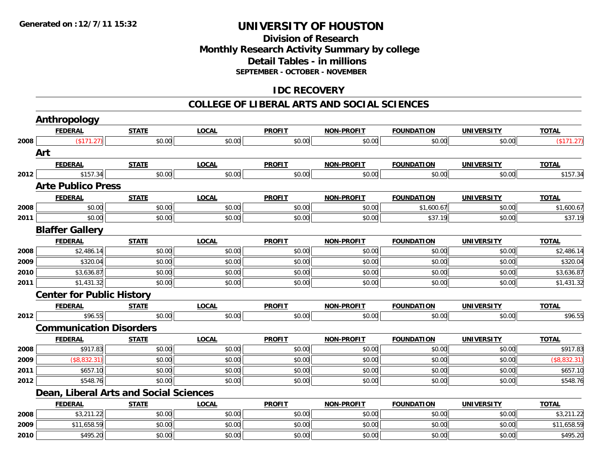### **Division of ResearchMonthly Research Activity Summary by college Detail Tables - in millions SEPTEMBER - OCTOBER - NOVEMBER**

### **IDC RECOVERY**

#### **COLLEGE OF LIBERAL ARTS AND SOCIAL SCIENCES**

|      | <b>Anthropology</b>              |                                               |              |               |                   |                   |                   |              |
|------|----------------------------------|-----------------------------------------------|--------------|---------------|-------------------|-------------------|-------------------|--------------|
|      | <b>FEDERAL</b>                   | <b>STATE</b>                                  | <b>LOCAL</b> | <b>PROFIT</b> | <b>NON-PROFIT</b> | <b>FOUNDATION</b> | <b>UNIVERSITY</b> | <b>TOTAL</b> |
| 2008 | (\$171.27)                       | \$0.00                                        | \$0.00       | \$0.00        | \$0.00            | \$0.00            | \$0.00            | (\$171.27)   |
|      | Art                              |                                               |              |               |                   |                   |                   |              |
|      | <b>FEDERAL</b>                   | <b>STATE</b>                                  | <b>LOCAL</b> | <b>PROFIT</b> | <b>NON-PROFIT</b> | <b>FOUNDATION</b> | <b>UNIVERSITY</b> | <b>TOTAL</b> |
| 2012 | \$157.34                         | \$0.00                                        | \$0.00       | \$0.00        | \$0.00            | \$0.00            | \$0.00            | \$157.34     |
|      | <b>Arte Publico Press</b>        |                                               |              |               |                   |                   |                   |              |
|      | <b>FEDERAL</b>                   | <b>STATE</b>                                  | <b>LOCAL</b> | <b>PROFIT</b> | <b>NON-PROFIT</b> | <b>FOUNDATION</b> | <b>UNIVERSITY</b> | <b>TOTAL</b> |
| 2008 | \$0.00                           | \$0.00                                        | \$0.00       | \$0.00        | \$0.00            | \$1,600.67        | \$0.00            | \$1,600.67   |
| 2011 | \$0.00                           | \$0.00                                        | \$0.00       | \$0.00        | \$0.00            | \$37.19           | \$0.00            | \$37.19      |
|      | <b>Blaffer Gallery</b>           |                                               |              |               |                   |                   |                   |              |
|      | <b>FEDERAL</b>                   | <b>STATE</b>                                  | <b>LOCAL</b> | <b>PROFIT</b> | <b>NON-PROFIT</b> | <b>FOUNDATION</b> | <b>UNIVERSITY</b> | <b>TOTAL</b> |
| 2008 | \$2,486.14                       | \$0.00                                        | \$0.00       | \$0.00        | \$0.00            | \$0.00            | \$0.00            | \$2,486.14   |
| 2009 | \$320.04                         | \$0.00                                        | \$0.00       | \$0.00        | \$0.00            | \$0.00            | \$0.00            | \$320.04     |
| 2010 | \$3,636.87                       | \$0.00                                        | \$0.00       | \$0.00        | \$0.00            | \$0.00            | \$0.00            | \$3,636.87   |
| 2011 | \$1,431.32                       | \$0.00                                        | \$0.00       | \$0.00        | \$0.00            | \$0.00            | \$0.00            | \$1,431.32   |
|      | <b>Center for Public History</b> |                                               |              |               |                   |                   |                   |              |
|      | <b>FEDERAL</b>                   | <b>STATE</b>                                  | <b>LOCAL</b> | <b>PROFIT</b> | <b>NON-PROFIT</b> | <b>FOUNDATION</b> | <b>UNIVERSITY</b> | <b>TOTAL</b> |
| 2012 | \$96.55                          | \$0.00                                        | \$0.00       | \$0.00        | \$0.00            | \$0.00            | \$0.00            | \$96.55      |
|      | <b>Communication Disorders</b>   |                                               |              |               |                   |                   |                   |              |
|      | <b>FEDERAL</b>                   | <b>STATE</b>                                  | <b>LOCAL</b> | <b>PROFIT</b> | <b>NON-PROFIT</b> | <b>FOUNDATION</b> | <b>UNIVERSITY</b> | <b>TOTAL</b> |
| 2008 | \$917.83                         | \$0.00                                        | \$0.00       | \$0.00        | \$0.00            | \$0.00            | \$0.00            | \$917.83     |
| 2009 | (\$8,832.31)                     | \$0.00                                        | \$0.00       | \$0.00        | \$0.00            | \$0.00            | \$0.00            | (\$8,832.31) |
| 2011 | \$657.10                         | \$0.00                                        | \$0.00       | \$0.00        | \$0.00            | \$0.00            | \$0.00            | \$657.10     |
| 2012 | \$548.76                         | \$0.00                                        | \$0.00       | \$0.00        | \$0.00            | \$0.00            | \$0.00            | \$548.76     |
|      |                                  | <b>Dean, Liberal Arts and Social Sciences</b> |              |               |                   |                   |                   |              |
|      | <b>FEDERAL</b>                   | <b>STATE</b>                                  | <b>LOCAL</b> | <b>PROFIT</b> | <b>NON-PROFIT</b> | <b>FOUNDATION</b> | <b>UNIVERSITY</b> | <b>TOTAL</b> |
| 2008 | \$3,211.22                       | \$0.00                                        | \$0.00       | \$0.00        | \$0.00            | \$0.00            | \$0.00            | \$3,211.22   |
| 2009 | \$11,658.59                      | \$0.00                                        | \$0.00       | \$0.00        | \$0.00            | \$0.00            | \$0.00            | \$11,658.59  |
| 2010 | \$495.20                         | \$0.00                                        | \$0.00       | \$0.00        | \$0.00            | \$0.00            | \$0.00            | \$495.20     |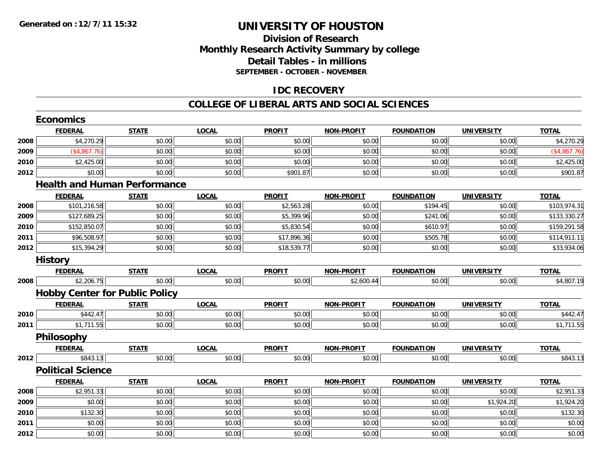### **Division of ResearchMonthly Research Activity Summary by college Detail Tables - in millions SEPTEMBER - OCTOBER - NOVEMBER**

### **IDC RECOVERY**

#### **COLLEGE OF LIBERAL ARTS AND SOCIAL SCIENCES**

|      | <b>Economics</b>                      |              |              |               |                   |                   |                   |              |
|------|---------------------------------------|--------------|--------------|---------------|-------------------|-------------------|-------------------|--------------|
|      | <b>FEDERAL</b>                        | <b>STATE</b> | <b>LOCAL</b> | <b>PROFIT</b> | <b>NON-PROFIT</b> | <b>FOUNDATION</b> | <b>UNIVERSITY</b> | <b>TOTAL</b> |
| 2008 | \$4,270.29                            | \$0.00       | \$0.00       | \$0.00        | \$0.00            | \$0.00            | \$0.00            | \$4,270.29   |
| 2009 | (\$4,867.76)                          | \$0.00       | \$0.00       | \$0.00        | \$0.00            | \$0.00            | \$0.00            | (\$4,867.76) |
| 2010 | \$2,425.00                            | \$0.00       | \$0.00       | \$0.00        | \$0.00            | \$0.00            | \$0.00            | \$2,425.00   |
| 2012 | \$0.00                                | \$0.00       | \$0.00       | \$901.87      | \$0.00            | \$0.00            | \$0.00            | \$901.87     |
|      | <b>Health and Human Performance</b>   |              |              |               |                   |                   |                   |              |
|      | <b>FEDERAL</b>                        | <b>STATE</b> | <b>LOCAL</b> | <b>PROFIT</b> | <b>NON-PROFIT</b> | <b>FOUNDATION</b> | <b>UNIVERSITY</b> | <b>TOTAL</b> |
| 2008 | \$101,216.58                          | \$0.00       | \$0.00       | \$2,563.28    | \$0.00            | \$194.45          | \$0.00            | \$103,974.31 |
| 2009 | \$127,689.25                          | \$0.00       | \$0.00       | \$5,399.96    | \$0.00            | \$241.06          | \$0.00            | \$133,330.27 |
| 2010 | \$152,850.07                          | \$0.00       | \$0.00       | \$5,830.54    | \$0.00            | \$610.97          | \$0.00            | \$159,291.58 |
| 2011 | \$96,508.97                           | \$0.00       | \$0.00       | \$17,896.36   | \$0.00            | \$505.78          | \$0.00            | \$114,911.11 |
| 2012 | \$15,394.29                           | \$0.00       | \$0.00       | \$18,539.77   | \$0.00            | \$0.00            | \$0.00            | \$33,934.06  |
|      | <b>History</b>                        |              |              |               |                   |                   |                   |              |
|      | <b>FEDERAL</b>                        | <b>STATE</b> | <b>LOCAL</b> | <b>PROFIT</b> | <b>NON-PROFIT</b> | <b>FOUNDATION</b> | <b>UNIVERSITY</b> | <b>TOTAL</b> |
| 2008 | \$2,206.75                            | \$0.00       | \$0.00       | \$0.00        | \$2,600.44        | \$0.00            | \$0.00            | \$4,807.19   |
|      | <b>Hobby Center for Public Policy</b> |              |              |               |                   |                   |                   |              |
|      | <b>FEDERAL</b>                        | <b>STATE</b> | <b>LOCAL</b> | <b>PROFIT</b> | <b>NON-PROFIT</b> | <b>FOUNDATION</b> | <b>UNIVERSITY</b> | <b>TOTAL</b> |
| 2010 | \$442.47                              | \$0.00       | \$0.00       | \$0.00        | \$0.00            | \$0.00            | \$0.00            | \$442.47     |
| 2011 | \$1,711.55                            | \$0.00       | \$0.00       | \$0.00        | \$0.00            | \$0.00            | \$0.00            | \$1,711.55   |
|      | <b>Philosophy</b>                     |              |              |               |                   |                   |                   |              |
|      | <b>FEDERAL</b>                        | <b>STATE</b> | <b>LOCAL</b> | <b>PROFIT</b> | <b>NON-PROFIT</b> | <b>FOUNDATION</b> | <b>UNIVERSITY</b> | <b>TOTAL</b> |
| 2012 | \$843.13                              | \$0.00       | \$0.00       | \$0.00        | \$0.00            | \$0.00            | \$0.00            | \$843.13     |
|      | <b>Political Science</b>              |              |              |               |                   |                   |                   |              |
|      | <b>FEDERAL</b>                        | <b>STATE</b> | <b>LOCAL</b> | <b>PROFIT</b> | <b>NON-PROFIT</b> | <b>FOUNDATION</b> | <b>UNIVERSITY</b> | <b>TOTAL</b> |
| 2008 | \$2,951.33                            | \$0.00       | \$0.00       | \$0.00        | \$0.00            | \$0.00            | \$0.00            | \$2,951.33   |
| 2009 | \$0.00                                | \$0.00       | \$0.00       | \$0.00        | \$0.00            | \$0.00            | \$1,924.20        | \$1,924.20   |
| 2010 | \$132.30                              | \$0.00       | \$0.00       | \$0.00        | \$0.00            | \$0.00            | \$0.00            | \$132.30     |
| 2011 | \$0.00                                | \$0.00       | \$0.00       | \$0.00        | \$0.00            | \$0.00            | \$0.00            | \$0.00       |
| 2012 | \$0.00                                | \$0.00       | \$0.00       | \$0.00        | \$0.00            | \$0.00            | \$0.00            | \$0.00       |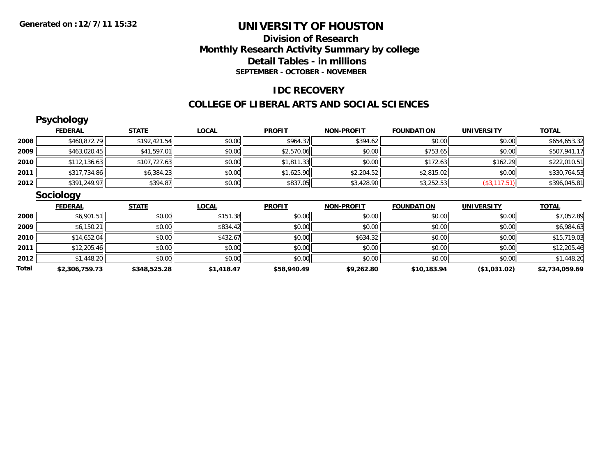### **Division of Research Monthly Research Activity Summary by college Detail Tables - in millions SEPTEMBER - OCTOBER - NOVEMBER**

### **IDC RECOVERY**

#### **COLLEGE OF LIBERAL ARTS AND SOCIAL SCIENCES**

|       | <b>Psychology</b> |              |              |               |                   |                   |                   |                |
|-------|-------------------|--------------|--------------|---------------|-------------------|-------------------|-------------------|----------------|
|       | <b>FEDERAL</b>    | <b>STATE</b> | <b>LOCAL</b> | <b>PROFIT</b> | <b>NON-PROFIT</b> | <b>FOUNDATION</b> | <b>UNIVERSITY</b> | <b>TOTAL</b>   |
| 2008  | \$460,872.79      | \$192,421.54 | \$0.00       | \$964.37      | \$394.62          | \$0.00            | \$0.00            | \$654,653.32   |
| 2009  | \$463,020.45      | \$41,597.01  | \$0.00       | \$2,570.06    | \$0.00            | \$753.65          | \$0.00            | \$507,941.17   |
| 2010  | \$112,136.63      | \$107,727.63 | \$0.00       | \$1,811.33    | \$0.00            | \$172.63          | \$162.29          | \$222,010.51   |
| 2011  | \$317,734.86      | \$6,384.23   | \$0.00       | \$1,625.90    | \$2,204.52        | \$2,815.02        | \$0.00            | \$330,764.53   |
| 2012  | \$391,249.97      | \$394.87     | \$0.00       | \$837.05      | \$3,428.90        | \$3,252.53        | (\$3,117.51)      | \$396,045.81   |
|       | <b>Sociology</b>  |              |              |               |                   |                   |                   |                |
|       | <b>FEDERAL</b>    | <b>STATE</b> | <b>LOCAL</b> | <b>PROFIT</b> | <b>NON-PROFIT</b> | <b>FOUNDATION</b> | <b>UNIVERSITY</b> | <b>TOTAL</b>   |
| 2008  | \$6,901.51        | \$0.00       | \$151.38     | \$0.00        | \$0.00            | \$0.00            | \$0.00            | \$7,052.89     |
| 2009  | \$6,150.21        | \$0.00       | \$834.42     | \$0.00        | \$0.00            | \$0.00            | \$0.00            | \$6,984.63     |
| 2010  | \$14,652.04       | \$0.00       | \$432.67     | \$0.00        | \$634.32          | \$0.00            | \$0.00            | \$15,719.03    |
| 2011  | \$12,205.46       | \$0.00       | \$0.00       | \$0.00        | \$0.00            | \$0.00            | \$0.00            | \$12,205.46    |
| 2012  | \$1,448.20        | \$0.00       | \$0.00       | \$0.00        | \$0.00            | \$0.00            | \$0.00            | \$1,448.20     |
| Total | \$2,306,759.73    | \$348,525.28 | \$1,418.47   | \$58,940.49   | \$9,262.80        | \$10,183.94       | ( \$1,031.02)     | \$2,734,059.69 |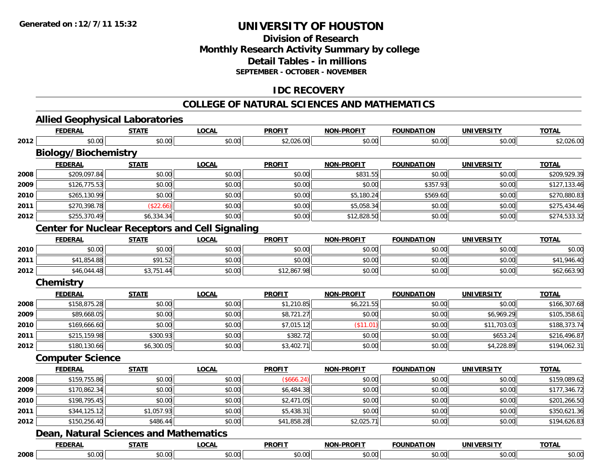### **Division of ResearchMonthly Research Activity Summary by college Detail Tables - in millionsSEPTEMBER - OCTOBER - NOVEMBER**

### **IDC RECOVERY**

### **COLLEGE OF NATURAL SCIENCES AND MATHEMATICS**

|      | <b>Allied Geophysical Laboratories</b>                 |              |              |               |                   |                   |                   |              |
|------|--------------------------------------------------------|--------------|--------------|---------------|-------------------|-------------------|-------------------|--------------|
|      | <b>FEDERAL</b>                                         | <b>STATE</b> | <b>LOCAL</b> | <b>PROFIT</b> | <b>NON-PROFIT</b> | <b>FOUNDATION</b> | <b>UNIVERSITY</b> | <b>TOTAL</b> |
| 2012 | \$0.00                                                 | \$0.00       | \$0.00       | \$2,026.00    | \$0.00            | \$0.00            | \$0.00            | \$2,026.00   |
|      | <b>Biology/Biochemistry</b><br><b>FEDERAL</b>          | <b>STATE</b> | <b>LOCAL</b> | <b>PROFIT</b> | <b>NON-PROFIT</b> | <b>FOUNDATION</b> | <b>UNIVERSITY</b> | <b>TOTAL</b> |
| 2008 | \$209,097.84                                           | \$0.00       | \$0.00       | \$0.00        | \$831.55          | \$0.00            | \$0.00            | \$209,929.39 |
| 2009 | \$126,775.53                                           | \$0.00       | \$0.00       | \$0.00        | \$0.00            | \$357.93          | \$0.00            | \$127,133.46 |
| 2010 | \$265,130.99                                           | \$0.00       | \$0.00       | \$0.00        | \$5,180.24        | \$569.60          | \$0.00            | \$270,880.83 |
| 2011 | \$270,398.78                                           | (\$22.66)    | \$0.00       | \$0.00        | \$5,058.34        | \$0.00            | \$0.00            | \$275,434.46 |
| 2012 | \$255,370.49                                           | \$6,334.34   | \$0.00       | \$0.00        | \$12,828.50       | \$0.00            | \$0.00            | \$274,533.32 |
|      | <b>Center for Nuclear Receptors and Cell Signaling</b> |              |              |               |                   |                   |                   |              |
|      | <b>FEDERAL</b>                                         | <b>STATE</b> | <b>LOCAL</b> | <b>PROFIT</b> | <b>NON-PROFIT</b> | <b>FOUNDATION</b> | <b>UNIVERSITY</b> | <b>TOTAL</b> |
| 2010 | \$0.00                                                 | \$0.00       | \$0.00       | \$0.00        | \$0.00            | \$0.00            | \$0.00            | \$0.00       |
| 2011 | \$41,854.88                                            | \$91.52      | \$0.00       | \$0.00        | \$0.00            | \$0.00            | \$0.00            | \$41,946.40  |
| 2012 | \$46,044.48                                            | \$3,751.44   | \$0.00       | \$12,867.98   | \$0.00            | \$0.00            | \$0.00            | \$62,663.90  |
|      | <b>Chemistry</b>                                       |              |              |               |                   |                   |                   |              |
|      | <b>FEDERAL</b>                                         | <b>STATE</b> | <b>LOCAL</b> | <b>PROFIT</b> | <b>NON-PROFIT</b> | <b>FOUNDATION</b> | <b>UNIVERSITY</b> | <b>TOTAL</b> |
| 2008 | \$158,875.28                                           | \$0.00       | \$0.00       | \$1,210.85    | \$6,221.55        | \$0.00            | \$0.00            | \$166,307.68 |
| 2009 | \$89,668.05                                            | \$0.00       | \$0.00       | \$8,721.27    | \$0.00            | \$0.00            | \$6,969.29        | \$105,358.61 |
| 2010 | \$169,666.60                                           | \$0.00       | \$0.00       | \$7,015.12    | (\$11.01)         | \$0.00            | \$11,703.03       | \$188,373.74 |
| 2011 | \$215,159.98                                           | \$300.93     | \$0.00       | \$382.72      | \$0.00            | \$0.00            | \$653.24          | \$216,496.87 |
| 2012 | \$180,130.66                                           | \$6,300.05   | \$0.00       | \$3,402.71    | \$0.00            | \$0.00            | \$4,228.89        | \$194,062.31 |
|      | <b>Computer Science</b>                                |              |              |               |                   |                   |                   |              |
|      | <b>FEDERAL</b>                                         | <b>STATE</b> | <b>LOCAL</b> | <b>PROFIT</b> | <b>NON-PROFIT</b> | <b>FOUNDATION</b> | <b>UNIVERSITY</b> | <b>TOTAL</b> |
| 2008 | \$159,755.86                                           | \$0.00       | \$0.00       | (\$666.24)    | \$0.00            | \$0.00            | \$0.00            | \$159,089.62 |
| 2009 | \$170,862.34                                           | \$0.00       | \$0.00       | \$6,484.38    | \$0.00            | \$0.00            | \$0.00            | \$177,346.72 |
| 2010 | \$198,795.45                                           | \$0.00       | \$0.00       | \$2,471.05    | \$0.00            | \$0.00            | \$0.00            | \$201,266.50 |
| 2011 | \$344,125.12                                           | \$1,057.93   | \$0.00       | \$5,438.31    | \$0.00            | \$0.00            | \$0.00            | \$350,621.36 |
| 2012 | \$150,256.40                                           | \$486.44     | \$0.00       | \$41,858.28   | \$2,025.71        | \$0.00            | \$0.00            | \$194,626.83 |
|      | <b>Dean, Natural Sciences and Mathematics</b>          |              |              |               |                   |                   |                   |              |
|      | <b>FEDERAL</b>                                         | <b>STATE</b> | <b>LOCAL</b> | <b>PROFIT</b> | <b>NON-PROFIT</b> | <b>FOUNDATION</b> | <b>UNIVERSITY</b> | <b>TOTAL</b> |
|      |                                                        |              | \$0.00       |               |                   |                   |                   |              |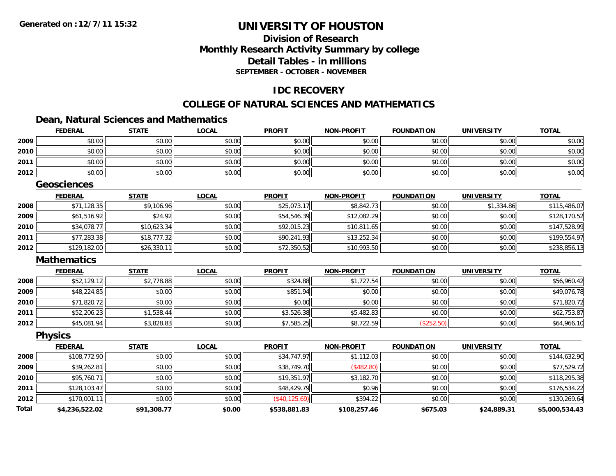### **Division of ResearchMonthly Research Activity Summary by college Detail Tables - in millionsSEPTEMBER - OCTOBER - NOVEMBER**

### **IDC RECOVERY**

### **COLLEGE OF NATURAL SCIENCES AND MATHEMATICS**

### **Dean, Natural Sciences and Mathematics**

|              | <b>FEDERAL</b>     | <b>STATE</b> | <b>LOCAL</b> | <b>PROFIT</b>  | <b>NON-PROFIT</b> | <b>FOUNDATION</b> | <b>UNIVERSITY</b> | <b>TOTAL</b>   |
|--------------|--------------------|--------------|--------------|----------------|-------------------|-------------------|-------------------|----------------|
| 2009         | \$0.00             | \$0.00       | \$0.00       | \$0.00         | \$0.00            | \$0.00            | \$0.00            | \$0.00         |
| 2010         | \$0.00             | \$0.00       | \$0.00       | \$0.00         | \$0.00            | \$0.00            | \$0.00            | \$0.00         |
| 2011         | \$0.00             | \$0.00       | \$0.00       | \$0.00         | \$0.00            | \$0.00            | \$0.00            | \$0.00         |
| 2012         | \$0.00             | \$0.00       | \$0.00       | \$0.00         | \$0.00            | \$0.00            | \$0.00            | \$0.00         |
|              | <b>Geosciences</b> |              |              |                |                   |                   |                   |                |
|              | <b>FEDERAL</b>     | <b>STATE</b> | <b>LOCAL</b> | <b>PROFIT</b>  | <b>NON-PROFIT</b> | <b>FOUNDATION</b> | <b>UNIVERSITY</b> | <b>TOTAL</b>   |
| 2008         | \$71,128.35        | \$9,106.96   | \$0.00       | \$25,073.17    | \$8,842.73        | \$0.00            | \$1,334.86        | \$115,486.07   |
| 2009         | \$61,516.92        | \$24.92      | \$0.00       | \$54,546.39    | \$12,082.29       | \$0.00            | \$0.00            | \$128,170.52   |
| 2010         | \$34,078.77        | \$10,623.34  | \$0.00       | \$92,015.23    | \$10,811.65       | \$0.00            | \$0.00            | \$147,528.99   |
| 2011         | \$77,283.38        | \$18,777.32  | \$0.00       | \$90,241.93    | \$13,252.34       | \$0.00            | \$0.00            | \$199,554.97   |
| 2012         | \$129,182.00       | \$26,330.11  | \$0.00       | \$72,350.52    | \$10,993.50       | \$0.00            | \$0.00            | \$238,856.13   |
|              | <b>Mathematics</b> |              |              |                |                   |                   |                   |                |
|              | <b>FEDERAL</b>     | <b>STATE</b> | <b>LOCAL</b> | <b>PROFIT</b>  | <b>NON-PROFIT</b> | <b>FOUNDATION</b> | <b>UNIVERSITY</b> | <b>TOTAL</b>   |
| 2008         | \$52,129.12        | \$2,778.88   | \$0.00       | \$324.88       | \$1,727.54        | \$0.00            | \$0.00            | \$56,960.42    |
| 2009         | \$48,224.85        | \$0.00       | \$0.00       | \$851.94       | \$0.00            | \$0.00            | \$0.00            | \$49,076.78    |
| 2010         | \$71,820.72        | \$0.00       | \$0.00       | \$0.00         | \$0.00            | \$0.00            | \$0.00            | \$71,820.72    |
| 2011         | \$52,206.23        | \$1,538.44   | \$0.00       | \$3,526.38     | \$5,482.83        | \$0.00            | \$0.00            | \$62,753.87    |
| 2012         | \$45,081.94        | \$3,828.83   | \$0.00       | \$7,585.25     | \$8,722.59        | (\$252.50)        | \$0.00            | \$64,966.10    |
|              | <b>Physics</b>     |              |              |                |                   |                   |                   |                |
|              | <b>FEDERAL</b>     | <b>STATE</b> | <b>LOCAL</b> | <b>PROFIT</b>  | <b>NON-PROFIT</b> | <b>FOUNDATION</b> | <b>UNIVERSITY</b> | <b>TOTAL</b>   |
| 2008         | \$108,772.90       | \$0.00       | \$0.00       | \$34,747.97    | \$1,112.03        | \$0.00            | \$0.00            | \$144,632.90   |
| 2009         | \$39,262.81        | \$0.00       | \$0.00       | \$38,749.70    | (\$482.80)        | \$0.00            | \$0.00            | \$77,529.72    |
| 2010         | \$95,760.71        | \$0.00       | \$0.00       | \$19,351.97    | \$3,182.70        | \$0.00            | \$0.00            | \$118,295.38   |
| 2011         | \$128,103.47       | \$0.00       | \$0.00       | \$48,429.79    | \$0.96            | \$0.00            | \$0.00            | \$176,534.22   |
| 2012         | \$170,001.11       | \$0.00       | \$0.00       | (\$40, 125.69) | \$394.22          | \$0.00            | \$0.00            | \$130,269.64   |
| <b>Total</b> | \$4,236,522.02     | \$91,308.77  | \$0.00       | \$538,881.83   | \$108,257.46      | \$675.03          | \$24,889.31       | \$5,000,534.43 |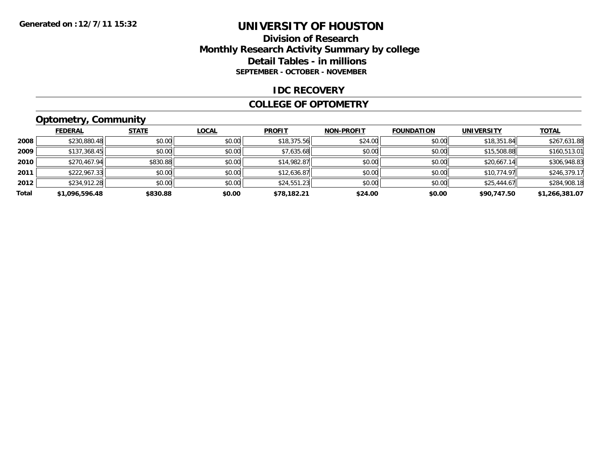### **Division of ResearchMonthly Research Activity Summary by college Detail Tables - in millions SEPTEMBER - OCTOBER - NOVEMBER**

#### **IDC RECOVERY**

#### **COLLEGE OF OPTOMETRY**

### **Optometry, Community**

|       | <b>FEDERAL</b> | <b>STATE</b> | <b>LOCAL</b> | <b>PROFIT</b> | <b>NON-PROFIT</b> | <b>FOUNDATION</b> | <b>UNIVERSITY</b> | <b>TOTAL</b>   |
|-------|----------------|--------------|--------------|---------------|-------------------|-------------------|-------------------|----------------|
| 2008  | \$230,880.48   | \$0.00       | \$0.00       | \$18,375.56   | \$24.00           | \$0.00            | \$18,351.84       | \$267,631.88   |
| 2009  | \$137,368.45   | \$0.00       | \$0.00       | \$7,635.68    | \$0.00            | \$0.00            | \$15,508.88       | \$160,513.01   |
| 2010  | \$270,467.94   | \$830.88     | \$0.00       | \$14,982.87   | \$0.00            | \$0.00            | \$20,667.14       | \$306,948.83   |
| 2011  | \$222,967.33   | \$0.00       | \$0.00       | \$12,636.87   | \$0.00            | \$0.00            | \$10,774.97       | \$246,379.17   |
| 2012  | \$234,912.28   | \$0.00       | \$0.00       | \$24,551.23   | \$0.00            | \$0.00            | \$25,444.67       | \$284,908.18   |
| Total | \$1,096,596.48 | \$830.88     | \$0.00       | \$78,182.21   | \$24.00           | \$0.00            | \$90,747.50       | \$1,266,381.07 |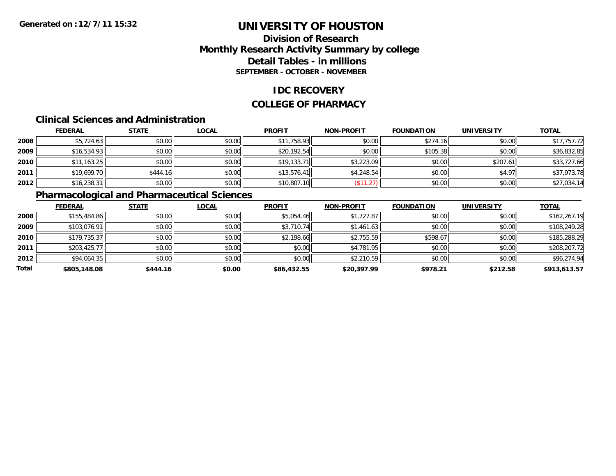### **Division of ResearchMonthly Research Activity Summary by college Detail Tables - in millions SEPTEMBER - OCTOBER - NOVEMBER**

### **IDC RECOVERY**

#### **COLLEGE OF PHARMACY**

### **Clinical Sciences and Administration**

|      | <b>FEDERAL</b> | <b>STATE</b> | <b>LOCAL</b> | <b>PROFIT</b> | <b>NON-PROFIT</b> | <b>FOUNDATION</b> | <b>UNIVERSITY</b> | <b>TOTAL</b> |
|------|----------------|--------------|--------------|---------------|-------------------|-------------------|-------------------|--------------|
| 2008 | \$5,724.63     | \$0.00       | \$0.00       | \$11,758.93   | \$0.00            | \$274.16          | \$0.00            | \$17,757.72  |
| 2009 | \$16,534.93    | \$0.00       | \$0.00       | \$20,192.54   | \$0.00            | \$105.38          | \$0.00            | \$36,832.85  |
| 2010 | \$11,163.25    | \$0.00       | \$0.00       | \$19,133.71   | \$3,223.09        | \$0.00            | \$207.61          | \$33,727.66  |
| 2011 | \$19,699.70    | \$444.16     | \$0.00       | \$13,576.41   | \$4,248.54        | \$0.00            | \$4.97            | \$37,973.78  |
| 2012 | \$16,238.31    | \$0.00       | \$0.00       | \$10,807.10   | \$11.27           | \$0.00            | \$0.00            | \$27,034.14  |

### **Pharmacological and Pharmaceutical Sciences**

|       | <b>FEDERAL</b> | <b>STATE</b> | <b>LOCAL</b> | <b>PROFIT</b> | <b>NON-PROFIT</b> | <b>FOUNDATION</b> | <b>UNIVERSITY</b> | <b>TOTAL</b> |
|-------|----------------|--------------|--------------|---------------|-------------------|-------------------|-------------------|--------------|
| 2008  | \$155,484.86   | \$0.00       | \$0.00       | \$5,054.46    | \$1,727.87        | \$0.00            | \$0.00            | \$162,267.19 |
| 2009  | \$103,076.91   | \$0.00       | \$0.00       | \$3,710.74    | \$1,461.63        | \$0.00            | \$0.00            | \$108,249.28 |
| 2010  | \$179,735.37   | \$0.00       | \$0.00       | \$2,198.66    | \$2,755.59        | \$598.67          | \$0.00            | \$185,288.29 |
| 2011  | \$203,425.77   | \$0.00       | \$0.00       | \$0.00        | \$4,781.95        | \$0.00            | \$0.00            | \$208,207.72 |
| 2012  | \$94,064.35    | \$0.00       | \$0.00       | \$0.00        | \$2,210.59        | \$0.00            | \$0.00            | \$96,274.94  |
| Total | \$805,148.08   | \$444.16     | \$0.00       | \$86,432.55   | \$20,397.99       | \$978.21          | \$212.58          | \$913,613.57 |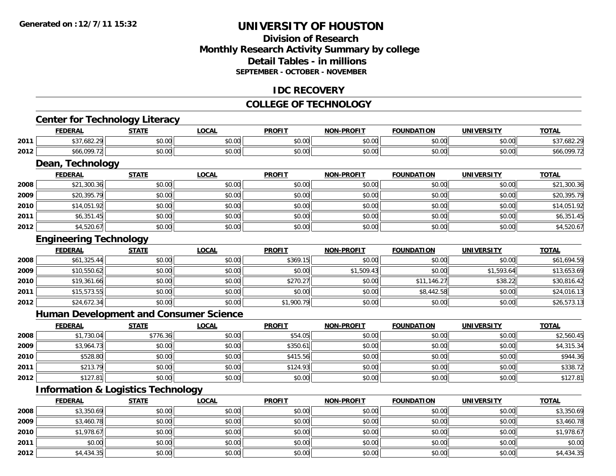### **Division of ResearchMonthly Research Activity Summary by college Detail Tables - in millionsSEPTEMBER - OCTOBER - NOVEMBER**

#### **IDC RECOVERY**

#### **COLLEGE OF TECHNOLOGY**

### **Center for Technology Literacy**

|      | <b>FEDERAL</b>                                                | <b>STATE</b>   | <b>LOCAI</b>  | <b>PROFIT</b>           | <b>NON-PROFIT</b> | <b>FOUNDATION</b> | <b>UNIVERSITY</b>  | <b>TOTAL</b> |
|------|---------------------------------------------------------------|----------------|---------------|-------------------------|-------------------|-------------------|--------------------|--------------|
| 2011 | $\sim$ 0.0 0.0<br>$\uparrow$ $\uparrow$ $\uparrow$<br>.682.29 | \$0.00         | 0.00<br>pu.uu | 0000<br>JU.UU           | 0000<br>PO.OO     | 0.00<br>JU.UU     | $\sim$ 00<br>JU.UU |              |
| 2012 | \$66.09C                                                      | en uu<br>JU.UU | 0.00<br>DU.UU | 0 <sup>0</sup><br>JU.UU | 0000<br>PO.OO     | 0.00<br>JU.UU     | en uu<br>JU.UU     | 566,090      |

<u> 1989 - Andrea Station Barbara, amerikan personal di sebagai personal di sebagai personal di sebagai personal</u>

### **Dean, Technology**

|      | <b>FEDERAL</b> | <b>STATE</b> | <b>LOCAL</b> | <b>PROFIT</b> | <b>NON-PROFIT</b> | <b>FOUNDATION</b> | <b>UNIVERSITY</b> | <b>TOTAL</b> |
|------|----------------|--------------|--------------|---------------|-------------------|-------------------|-------------------|--------------|
| 2008 | \$21,300.36    | \$0.00       | \$0.00       | \$0.00        | \$0.00            | \$0.00            | \$0.00            | \$21,300.36  |
| 2009 | \$20,395.79    | \$0.00       | \$0.00       | \$0.00        | \$0.00            | \$0.00            | \$0.00            | \$20,395.79  |
| 2010 | \$14,051.92    | \$0.00       | \$0.00       | \$0.00        | \$0.00            | \$0.00            | \$0.00            | \$14,051.92  |
| 2011 | \$6,351.45     | \$0.00       | \$0.00       | \$0.00        | \$0.00            | \$0.00            | \$0.00            | \$6,351.45   |
| 2012 | \$4,520.67     | \$0.00       | \$0.00       | \$0.00        | \$0.00            | \$0.00            | \$0.00            | \$4,520.67   |

### **Engineering Technology**

|      | <b>FEDERAL</b> | <b>STATE</b> | <b>LOCAL</b> | <b>PROFIT</b> | <b>NON-PROFIT</b> | <b>FOUNDATION</b> | <b>UNIVERSITY</b> | <b>TOTAL</b> |
|------|----------------|--------------|--------------|---------------|-------------------|-------------------|-------------------|--------------|
| 2008 | \$61,325.44    | \$0.00       | \$0.00       | \$369.15      | \$0.00            | \$0.00            | \$0.00            | \$61,694.59  |
| 2009 | \$10,550.62    | \$0.00       | \$0.00       | \$0.00        | \$1,509.43        | \$0.00            | \$1,593.64        | \$13,653.69  |
| 2010 | \$19,361.66    | \$0.00       | \$0.00       | \$270.27      | \$0.00            | \$11,146.27       | \$38.22           | \$30,816.42  |
| 2011 | \$15,573.55    | \$0.00       | \$0.00       | \$0.00        | \$0.00            | \$8,442.58        | \$0.00            | \$24,016.13  |
| 2012 | \$24,672.34    | \$0.00       | \$0.00       | \$1,900.79    | \$0.00            | \$0.00            | \$0.00            | \$26,573.13  |

### **Human Development and Consumer Science**

|      | <b>FEDERAL</b> | <b>STATE</b> | <b>LOCAL</b> | <b>PROFIT</b> | <b>NON-PROFIT</b> | <b>FOUNDATION</b> | <b>UNIVERSITY</b> | <b>TOTAL</b> |
|------|----------------|--------------|--------------|---------------|-------------------|-------------------|-------------------|--------------|
| 2008 | \$1,730.04     | \$776.36     | \$0.00       | \$54.05       | \$0.00            | \$0.00            | \$0.00            | \$2,560.45   |
| 2009 | \$3,964.73     | \$0.00       | \$0.00       | \$350.61      | \$0.00            | \$0.00            | \$0.00            | \$4,315.34   |
| 2010 | \$528.80       | \$0.00       | \$0.00       | \$415.56      | \$0.00            | \$0.00            | \$0.00            | \$944.36     |
| 2011 | \$213.79       | \$0.00       | \$0.00       | \$124.93      | \$0.00            | \$0.00            | \$0.00            | \$338.72     |
| 2012 | \$127.81       | \$0.00       | \$0.00       | \$0.00        | \$0.00            | \$0.00            | \$0.00            | \$127.81     |

### **Information & Logistics Technology**

|      | <u>FEDERAL</u> | <b>STATE</b> | <b>LOCAL</b> | <b>PROFIT</b> | <b>NON-PROFIT</b> | <b>FOUNDATION</b> | <b>UNIVERSITY</b> | <b>TOTAL</b> |
|------|----------------|--------------|--------------|---------------|-------------------|-------------------|-------------------|--------------|
| 2008 | \$3,350.69     | \$0.00       | \$0.00       | \$0.00        | \$0.00            | \$0.00            | \$0.00            | \$3,350.69   |
| 2009 | \$3,460.78     | \$0.00       | \$0.00       | \$0.00        | \$0.00            | \$0.00            | \$0.00            | \$3,460.78   |
| 2010 | \$1,978.67     | \$0.00       | \$0.00       | \$0.00        | \$0.00            | \$0.00            | \$0.00            | \$1,978.67   |
| 2011 | \$0.00         | \$0.00       | \$0.00       | \$0.00        | \$0.00            | \$0.00            | \$0.00            | \$0.00       |
| 2012 | \$4,434.35     | \$0.00       | \$0.00       | \$0.00        | \$0.00            | \$0.00            | \$0.00            | \$4,434.35   |

<u> 1980 - Johann Barbara, martxa alemaniar amerikan basar da da a shekara 1980 - Andrew Maria Barbara, mash</u>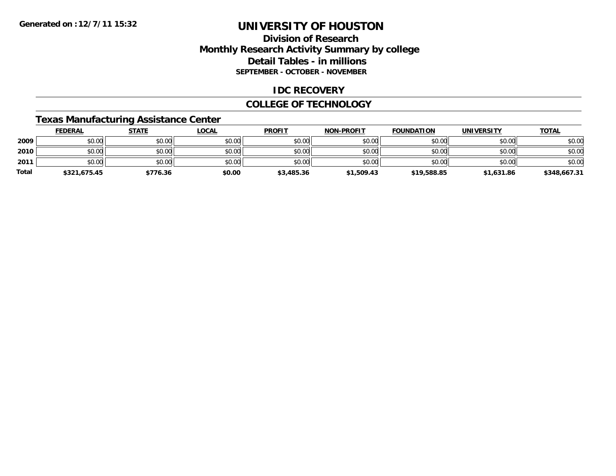### **Division of ResearchMonthly Research Activity Summary by college Detail Tables - in millions SEPTEMBER - OCTOBER - NOVEMBER**

### **IDC RECOVERY**

### **COLLEGE OF TECHNOLOGY**

### **Texas Manufacturing Assistance Center**

|       | <b>FEDERAL</b> | <u>STATE</u> | <u>LOCAL</u> | <b>PROFIT</b> | <b>NON-PROFIT</b> | <b>FOUNDATION</b> | <b>UNIVERSITY</b> | <b>TOTAL</b> |
|-------|----------------|--------------|--------------|---------------|-------------------|-------------------|-------------------|--------------|
| 2009  | \$0.00         | \$0.00       | \$0.00       | \$0.00        | \$0.00            | \$0.00            | \$0.00            | \$0.00       |
| 2010  | \$0.00         | \$0.00       | \$0.00       | \$0.00        | \$0.00            | \$0.00            | \$0.00            | \$0.00       |
| 2011  | \$0.00         | \$0.00       | \$0.00       | \$0.00        | \$0.00            | \$0.00            | \$0.00            | \$0.00       |
| Total | \$321,675.45   | \$776.36     | \$0.00       | \$3,485.36    | \$1,509.43        | \$19,588.85       | \$1,631.86        | \$348,667.31 |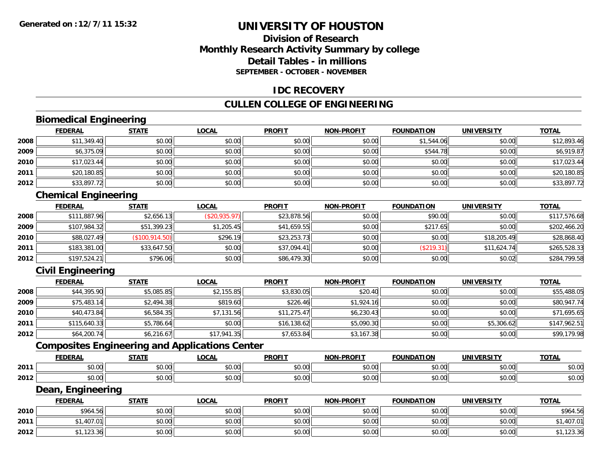### **Division of ResearchMonthly Research Activity Summary by college Detail Tables - in millionsSEPTEMBER - OCTOBER - NOVEMBER**

#### **IDC RECOVERY**

#### **CULLEN COLLEGE OF ENGINEERING**

### **Biomedical Engineering**

|      | <b>FEDERAL</b> | <b>STATE</b> | <b>LOCAL</b> | <b>PROFIT</b> | <b>NON-PROFIT</b> | <b>FOUNDATION</b> | <b>UNIVERSITY</b> | <b>TOTAL</b> |
|------|----------------|--------------|--------------|---------------|-------------------|-------------------|-------------------|--------------|
| 2008 | \$11,349.40    | \$0.00       | \$0.00       | \$0.00        | \$0.00            | \$1,544.06        | \$0.00            | \$12,893.46  |
| 2009 | \$6,375.09     | \$0.00       | \$0.00       | \$0.00        | \$0.00            | \$544.78          | \$0.00            | \$6,919.87   |
| 2010 | \$17,023.44    | \$0.00       | \$0.00       | \$0.00        | \$0.00            | \$0.00            | \$0.00            | \$17,023.44  |
| 2011 | \$20,180.85    | \$0.00       | \$0.00       | \$0.00        | \$0.00            | \$0.00            | \$0.00            | \$20,180.85  |
| 2012 | \$33,897.72    | \$0.00       | \$0.00       | \$0.00        | \$0.00            | \$0.00            | \$0.00            | \$33,897.72  |

### **Chemical Engineering**

|      | <u>FEDERAL</u> | <b>STATE</b>    | <u>LOCAL</u>  | <b>PROFIT</b> | <b>NON-PROFIT</b> | <b>FOUNDATION</b> | <b>UNIVERSITY</b> | <b>TOTAL</b> |
|------|----------------|-----------------|---------------|---------------|-------------------|-------------------|-------------------|--------------|
| 2008 | \$111,887.96   | \$2,656.13      | (S20, 935.97) | \$23,878.56   | \$0.00            | \$90.00           | \$0.00            | \$117,576.68 |
| 2009 | \$107,984.32   | \$51,399.23     | \$1,205.45    | \$41,659.55   | \$0.00            | \$217.65          | \$0.00            | \$202,466.20 |
| 2010 | \$88,027.49    | (\$100, 914.50) | \$296.19      | \$23,253.73   | \$0.00            | \$0.00            | \$18,205.49       | \$28,868.40  |
| 2011 | \$183,381.00   | \$33,647.50     | \$0.00        | \$37,094.41   | \$0.00            | (\$219.31)        | \$11,624.74       | \$265,528.33 |
| 2012 | \$197,524.21   | \$796.06        | \$0.00        | \$86,479.30   | \$0.00            | \$0.00            | \$0.02            | \$284,799.58 |

### **Civil Engineering**

|      | <b>FEDERAL</b> | <b>STATE</b> | <u>LOCAL</u> | <b>PROFIT</b> | <b>NON-PROFIT</b> | <b>FOUNDATION</b> | <b>UNIVERSITY</b> | <b>TOTAL</b> |
|------|----------------|--------------|--------------|---------------|-------------------|-------------------|-------------------|--------------|
| 2008 | \$44,395.90    | \$5,085.85   | \$2,155.85   | \$3,830.05    | \$20.40           | \$0.00            | \$0.00            | \$55,488.05  |
| 2009 | \$75,483.14    | \$2,494.38   | \$819.60     | \$226.46      | \$1,924.16        | \$0.00            | \$0.00            | \$80,947.74  |
| 2010 | \$40,473.84    | \$6,584.35   | \$7,131.56   | \$11,275.47   | \$6,230.43        | \$0.00            | \$0.00            | \$71,695.65  |
| 2011 | \$115,640.33   | \$5,786.64   | \$0.00       | \$16,138.62   | \$5,090.30        | \$0.00            | \$5,306.62        | \$147,962.51 |
| 2012 | \$64,200.74    | \$6,216.67   | \$17,941.35  | \$7,653.84    | \$3,167.38        | \$0.00            | \$0.00            | \$99,179.98  |

### **Composites Engineering and Applications Center**

|      | <b>FEDERAL</b>          | <b>STATI</b>                                                  | LOCAI                  | <b>PROFIT</b> | <b>I-PROFIT</b><br>NON- | ΊΟΝ<br>FOI INDA'                     | UNIVERSITY      | <b>TOTAL</b>  |
|------|-------------------------|---------------------------------------------------------------|------------------------|---------------|-------------------------|--------------------------------------|-----------------|---------------|
| 2011 | 0000<br>ט.טי            | $\uparrow$ $\uparrow$ $\uparrow$ $\uparrow$ $\uparrow$<br>ט.ט | $\sim$ $\sim$<br>vv.vv | 0.00<br>JU.UU | 0000<br>vu.vu           | $\sim$ $\sim$ $\sim$ $\sim$<br>10.00 | 0.00<br>∕∪.∪∪ ≀ | 0000<br>DU.UU |
| 2012 | 0 <sub>0</sub><br>pu.uu | $\sim$<br>ט.ט                                                 | 0000<br>JU.UU          | 0.00<br>JU.UU | 0000<br>ง∪.∪บ           | $+ - - -$<br>ww.                     | ልስ ባህ<br>DU.UG  | \$0.00        |

#### **Dean, Engineering**

|      | <b>FEDERAL</b>            | <b>STATE</b> | <u>LOCAL</u>           | <b>PROFIT</b> | <b>NON-PROFIT</b> | <b>FOUNDATION</b> | <b>UNIVERSITY</b> | <b>TOTAL</b> |
|------|---------------------------|--------------|------------------------|---------------|-------------------|-------------------|-------------------|--------------|
| 2010 | \$964.56                  | \$0.00       | $n \cap \neg$<br>DU.U¢ | \$0.00        | \$0.00            | \$0.00            | \$0.00            | \$964.56     |
| 2011 | 1.407.01                  | \$0.00       | \$0.00                 | \$0.00        | \$0.00            | \$0.00            | \$0.00            | .407.01      |
| 2012 | 0.1100001<br>اد.د.ع ا ، ا | \$0.00       | \$0.00                 | \$0.00        | \$0.00            | \$0.00            | \$0.00            | .123.36      |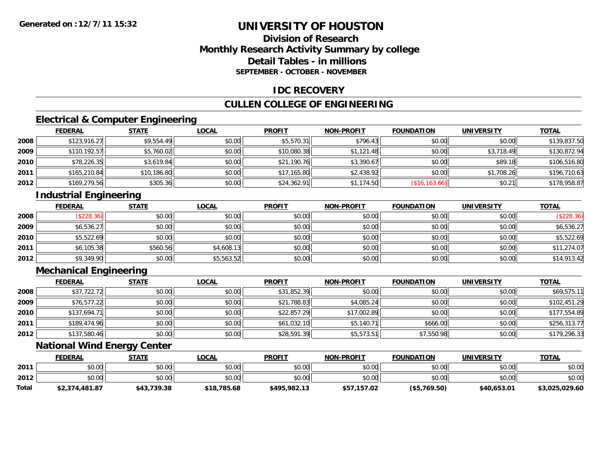### **Division of ResearchMonthly Research Activity Summary by college Detail Tables - in millionsSEPTEMBER - OCTOBER - NOVEMBER**

### **IDC RECOVERY**

### **CULLEN COLLEGE OF ENGINEERING**

### **Electrical & Computer Engineering**

|      | <b>FEDERAL</b> | <b>STATE</b> | <b>LOCAL</b> | <b>PROFIT</b> | <b>NON-PROFIT</b> | <b>FOUNDATION</b> | <b>UNIVERSITY</b> | <b>TOTAL</b> |
|------|----------------|--------------|--------------|---------------|-------------------|-------------------|-------------------|--------------|
| 2008 | \$123,916.27   | \$9,554.49   | \$0.00       | \$5,570.31    | \$796.43          | \$0.00            | \$0.00            | \$139,837.50 |
| 2009 | \$110,192.57   | \$5,760.02   | \$0.00       | \$10,080.38   | \$1,121.48        | \$0.00            | \$3,718.49        | \$130,872.94 |
| 2010 | \$78,226.35    | \$3,619.84   | \$0.00       | \$21,190.76   | \$3,390.67        | \$0.00            | \$89.18           | \$106,516.80 |
| 2011 | \$165,210.84   | \$10,186.80  | \$0.00       | \$17,165.80   | \$2,438.92        | \$0.00            | \$1,708.26        | \$196,710.63 |
| 2012 | \$169,279.56   | \$305.36     | \$0.00       | \$24,362.91   | \$1,174.50        | (\$16,163.66)     | \$0.21            | \$178,958.87 |

### **Industrial Engineering**

|      | <b>FEDERAL</b> | <b>STATE</b> | <u>LOCAL</u> | <b>PROFIT</b> | <b>NON-PROFIT</b> | <b>FOUNDATION</b> | <b>UNIVERSITY</b> | <b>TOTAL</b> |
|------|----------------|--------------|--------------|---------------|-------------------|-------------------|-------------------|--------------|
| 2008 | (\$228.36)     | \$0.00       | \$0.00       | \$0.00        | \$0.00            | \$0.00            | \$0.00            | (\$228.36)   |
| 2009 | \$6,536.27     | \$0.00       | \$0.00       | \$0.00        | \$0.00            | \$0.00            | \$0.00            | \$6,536.27   |
| 2010 | \$5,522.69     | \$0.00       | \$0.00       | \$0.00        | \$0.00            | \$0.00            | \$0.00            | \$5,522.69   |
| 2011 | \$6,105.38     | \$560.56     | \$4,608.13   | \$0.00        | \$0.00            | \$0.00            | \$0.00            | \$11,274.07  |
| 2012 | \$9,349.90     | \$0.00       | \$5,563.52   | \$0.00        | \$0.00            | \$0.00            | \$0.00            | \$14,913.42  |

### **Mechanical Engineering**

|      | <b>FEDERAL</b> | <b>STATE</b> | <b>LOCAL</b> | <b>PROFIT</b> | <b>NON-PROFIT</b> | <b>FOUNDATION</b> | <b>UNIVERSITY</b> | <b>TOTAL</b> |
|------|----------------|--------------|--------------|---------------|-------------------|-------------------|-------------------|--------------|
| 2008 | \$37,722.72    | \$0.00       | \$0.00       | \$31,852.39   | \$0.00            | \$0.00            | \$0.00            | \$69,575.11  |
| 2009 | \$76,577.22    | \$0.00       | \$0.00       | \$21,788.83   | \$4,085.24        | \$0.00            | \$0.00            | \$102,451.29 |
| 2010 | \$137,694.71   | \$0.00       | \$0.00       | \$22,857.29   | \$17,002.89       | \$0.00            | \$0.00            | \$177,554.89 |
| 2011 | \$189,474.96   | \$0.00       | \$0.00       | \$61,032.10   | \$5,140.71        | \$666.00          | \$0.00            | \$256,313.77 |
| 2012 | \$137,580.46   | \$0.00       | \$0.00       | \$28,591.39   | \$5,573.51        | \$7,550.98        | \$0.00            | \$179,296.33 |

### **National Wind Energy Center**

|       | <b>FEDERAL</b> | <u>STATE</u> | <u>LOCAL</u> | <b>PROFIT</b> | <b>NON-PROFIT</b> | <b>FOUNDATION</b> | <b>UNIVERSITY</b> | <b>TOTAL</b>   |
|-------|----------------|--------------|--------------|---------------|-------------------|-------------------|-------------------|----------------|
| 2011  | \$0.00         | \$0.00       | \$0.00       | \$0.00        | \$0.00            | \$0.00            | \$0.00            | \$0.00         |
| 2012  | \$0.00         | \$0.00       | \$0.00       | \$0.00        | \$0.00            | \$0.00            | \$0.00            | \$0.00         |
| Total | \$2,374,481.87 | \$43,739.38  | \$18,785.68  | \$495,982.13  | \$57,157.02       | $($ \$5,769.50)   | \$40,653.01       | \$3,025,029.60 |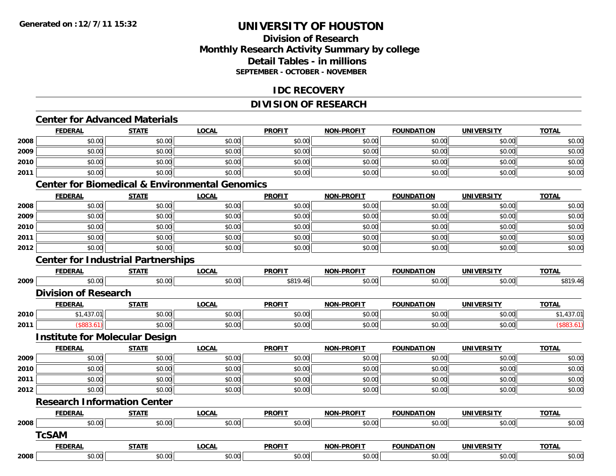### **Division of ResearchMonthly Research Activity Summary by college Detail Tables - in millionsSEPTEMBER - OCTOBER - NOVEMBER**

#### **IDC RECOVERY**

### **DIVISION OF RESEARCH**

### **Center for Advanced Materials**

|      | <b>FEDERAL</b>                                            | <b>STATE</b> | <b>LOCAL</b> | <b>PROFIT</b> | <b>NON-PROFIT</b> | <b>FOUNDATION</b> | <b>UNIVERSITY</b> | <b>TOTAL</b> |
|------|-----------------------------------------------------------|--------------|--------------|---------------|-------------------|-------------------|-------------------|--------------|
| 2008 | \$0.00                                                    | \$0.00       | \$0.00       | \$0.00        | \$0.00            | \$0.00            | \$0.00            | \$0.00       |
| 2009 | \$0.00                                                    | \$0.00       | \$0.00       | \$0.00        | \$0.00            | \$0.00            | \$0.00            | \$0.00       |
| 2010 | \$0.00                                                    | \$0.00       | \$0.00       | \$0.00        | \$0.00            | \$0.00            | \$0.00            | \$0.00       |
| 2011 | \$0.00                                                    | \$0.00       | \$0.00       | \$0.00        | \$0.00            | \$0.00            | \$0.00            | \$0.00       |
|      | <b>Center for Biomedical &amp; Environmental Genomics</b> |              |              |               |                   |                   |                   |              |
|      | <b>FEDERAL</b>                                            | <b>STATE</b> | <b>LOCAL</b> | <b>PROFIT</b> | <b>NON-PROFIT</b> | <b>FOUNDATION</b> | <b>UNIVERSITY</b> | <b>TOTAL</b> |
| 2008 | \$0.00                                                    | \$0.00       | \$0.00       | \$0.00        | \$0.00            | \$0.00            | \$0.00            | \$0.00       |
| 2009 | \$0.00                                                    | \$0.00       | \$0.00       | \$0.00        | \$0.00            | \$0.00            | \$0.00            | \$0.00       |
| 2010 | \$0.00                                                    | \$0.00       | \$0.00       | \$0.00        | \$0.00            | \$0.00            | \$0.00            | \$0.00       |
| 2011 | \$0.00                                                    | \$0.00       | \$0.00       | \$0.00        | \$0.00            | \$0.00            | \$0.00            | \$0.00       |
| 2012 | \$0.00                                                    | \$0.00       | \$0.00       | \$0.00        | \$0.00            | \$0.00            | \$0.00            | \$0.00       |
|      | <b>Center for Industrial Partnerships</b>                 |              |              |               |                   |                   |                   |              |
|      | <b>FEDERAL</b>                                            | <b>STATE</b> | <b>LOCAL</b> | <b>PROFIT</b> | <b>NON-PROFIT</b> | <b>FOUNDATION</b> | <b>UNIVERSITY</b> | <b>TOTAL</b> |
| 2009 | \$0.00                                                    | \$0.00       | \$0.00       | \$819.46      | \$0.00            | \$0.00            | \$0.00            | \$819.46     |
|      | <b>Division of Research</b>                               |              |              |               |                   |                   |                   |              |
|      | <b>FEDERAL</b>                                            | <b>STATE</b> | <b>LOCAL</b> | <b>PROFIT</b> | <b>NON-PROFIT</b> | <b>FOUNDATION</b> | <b>UNIVERSITY</b> | <b>TOTAL</b> |
| 2010 | \$1,437.01                                                | \$0.00       | \$0.00       | \$0.00        | \$0.00            | \$0.00            | \$0.00            | \$1,437.01   |
| 2011 | (\$883.61)                                                | \$0.00       | \$0.00       | \$0.00        | \$0.00            | \$0.00            | \$0.00            | (\$883.61)   |
|      | <b>Institute for Molecular Design</b>                     |              |              |               |                   |                   |                   |              |
|      | <b>FEDERAL</b>                                            | <b>STATE</b> | <b>LOCAL</b> | <b>PROFIT</b> | <b>NON-PROFIT</b> | <b>FOUNDATION</b> | <b>UNIVERSITY</b> | <b>TOTAL</b> |
| 2009 | \$0.00                                                    | \$0.00       | \$0.00       | \$0.00        | \$0.00            | \$0.00            | \$0.00            | \$0.00       |
| 2010 | \$0.00                                                    | \$0.00       | \$0.00       | \$0.00        | \$0.00            | \$0.00            | \$0.00            | \$0.00       |
| 2011 | \$0.00                                                    | \$0.00       | \$0.00       | \$0.00        | \$0.00            | \$0.00            | \$0.00            | \$0.00       |
| 2012 | \$0.00                                                    | \$0.00       | \$0.00       | \$0.00        | \$0.00            | \$0.00            | \$0.00            | \$0.00       |
|      | <b>Research Information Center</b>                        |              |              |               |                   |                   |                   |              |
|      | <b>FEDERAL</b>                                            | <b>STATE</b> | <b>LOCAL</b> | <b>PROFIT</b> | <b>NON-PROFIT</b> | <b>FOUNDATION</b> | <b>UNIVERSITY</b> | <b>TOTAL</b> |
| 2008 | \$0.00                                                    | \$0.00       | \$0.00       | \$0.00        | \$0.00            | \$0.00            | \$0.00            | \$0.00       |
|      | <b>TcSAM</b>                                              |              |              |               |                   |                   |                   |              |
|      | <b>FEDERAL</b>                                            | <b>STATE</b> | <b>LOCAL</b> | <b>PROFIT</b> | <b>NON-PROFIT</b> | <b>FOUNDATION</b> | <b>UNIVERSITY</b> | <b>TOTAL</b> |
| 2008 | \$0.00                                                    | \$0.00       | \$0.00       | \$0.00        | \$0.00            | \$0.00            | \$0.00            | \$0.00       |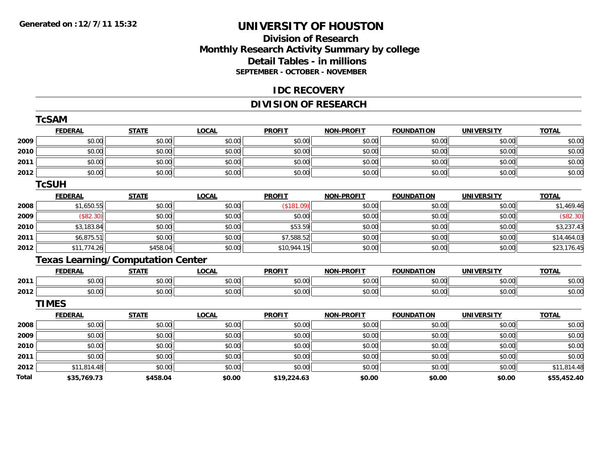**TcSAM**

### **UNIVERSITY OF HOUSTON**

### **Division of Research Monthly Research Activity Summary by college Detail Tables - in millions SEPTEMBER - OCTOBER - NOVEMBER**

#### **IDC RECOVERY**

### **DIVISION OF RESEARCH**

|       | <b>ICSAM</b>   |                                          |              |               |                   |                   |                   |              |
|-------|----------------|------------------------------------------|--------------|---------------|-------------------|-------------------|-------------------|--------------|
|       | <b>FEDERAL</b> | <b>STATE</b>                             | <b>LOCAL</b> | <b>PROFIT</b> | <b>NON-PROFIT</b> | <b>FOUNDATION</b> | <b>UNIVERSITY</b> | <b>TOTAL</b> |
| 2009  | \$0.00         | \$0.00                                   | \$0.00       | \$0.00        | \$0.00            | \$0.00            | \$0.00            | \$0.00       |
| 2010  | \$0.00         | \$0.00                                   | \$0.00       | \$0.00        | \$0.00            | \$0.00            | \$0.00            | \$0.00       |
| 2011  | \$0.00         | \$0.00                                   | \$0.00       | \$0.00        | \$0.00            | \$0.00            | \$0.00            | \$0.00       |
| 2012  | \$0.00         | \$0.00                                   | \$0.00       | \$0.00        | \$0.00            | \$0.00            | \$0.00            | \$0.00       |
|       | <b>TCSUH</b>   |                                          |              |               |                   |                   |                   |              |
|       | <b>FEDERAL</b> | <b>STATE</b>                             | <b>LOCAL</b> | <b>PROFIT</b> | <b>NON-PROFIT</b> | <b>FOUNDATION</b> | <b>UNIVERSITY</b> | <b>TOTAL</b> |
| 2008  | \$1,650.55     | \$0.00                                   | \$0.00       | (\$181.09)    | \$0.00            | \$0.00            | \$0.00            | \$1,469.46   |
| 2009  | (S82.30)       | \$0.00                                   | \$0.00       | \$0.00        | \$0.00            | \$0.00            | \$0.00            | (\$82.30)    |
| 2010  | \$3,183.84     | \$0.00                                   | \$0.00       | \$53.59       | \$0.00            | \$0.00            | \$0.00            | \$3,237.43   |
| 2011  | \$6,875.51     | \$0.00                                   | \$0.00       | \$7,588.52    | \$0.00            | \$0.00            | \$0.00            | \$14,464.03  |
| 2012  | \$11,774.26    | \$458.04                                 | \$0.00       | \$10,944.15   | \$0.00            | \$0.00            | \$0.00            | \$23,176.45  |
|       |                | <b>Texas Learning/Computation Center</b> |              |               |                   |                   |                   |              |
|       | <b>FEDERAL</b> | <b>STATE</b>                             | <b>LOCAL</b> | <b>PROFIT</b> | <b>NON-PROFIT</b> | <b>FOUNDATION</b> | <b>UNIVERSITY</b> | <b>TOTAL</b> |
| 2011  | \$0.00         | \$0.00                                   | \$0.00       | \$0.00        | \$0.00            | \$0.00            | \$0.00            | \$0.00       |
| 2012  | \$0.00         | \$0.00                                   | \$0.00       | \$0.00        | \$0.00            | \$0.00            | \$0.00            | \$0.00       |
|       | <b>TIMES</b>   |                                          |              |               |                   |                   |                   |              |
|       | <b>FEDERAL</b> | <b>STATE</b>                             | <b>LOCAL</b> | <b>PROFIT</b> | <b>NON-PROFIT</b> | <b>FOUNDATION</b> | <b>UNIVERSITY</b> | <b>TOTAL</b> |
| 2008  | \$0.00         | \$0.00                                   | \$0.00       | \$0.00        | \$0.00            | \$0.00            | \$0.00            | \$0.00       |
| 2009  | \$0.00         | \$0.00                                   | \$0.00       | \$0.00        | \$0.00            | \$0.00            | \$0.00            | \$0.00       |
| 2010  | \$0.00         | \$0.00                                   | \$0.00       | \$0.00        | \$0.00            | \$0.00            | \$0.00            | \$0.00       |
| 2011  | \$0.00         | \$0.00                                   | \$0.00       | \$0.00        | \$0.00            | \$0.00            | \$0.00            | \$0.00       |
| 2012  | \$11,814.48    | \$0.00                                   | \$0.00       | \$0.00        | \$0.00            | \$0.00            | \$0.00            | \$11,814.48  |
| Total | \$35,769.73    | \$458.04                                 | \$0.00       | \$19,224.63   | \$0.00            | \$0.00            | \$0.00            | \$55,452.40  |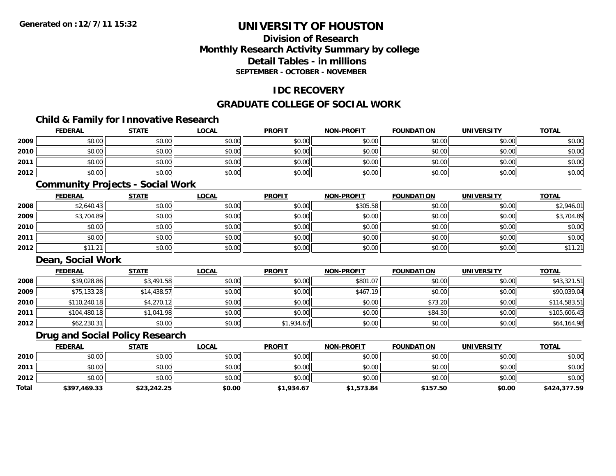### **Division of ResearchMonthly Research Activity Summary by college Detail Tables - in millionsSEPTEMBER - OCTOBER - NOVEMBER**

### **IDC RECOVERY**

### **GRADUATE COLLEGE OF SOCIAL WORK**

### **Child & Family for Innovative Research**

|      | <b>FEDERAL</b> | <b>STATE</b> | <b>LOCAL</b> | <b>PROFIT</b> | <b>NON-PROFIT</b> | <b>FOUNDATION</b> | <b>UNIVERSITY</b> | <b>TOTAL</b> |
|------|----------------|--------------|--------------|---------------|-------------------|-------------------|-------------------|--------------|
| 2009 | \$0.00         | \$0.00       | \$0.00       | \$0.00        | \$0.00            | \$0.00            | \$0.00            | \$0.00       |
| 2010 | \$0.00         | \$0.00       | \$0.00       | \$0.00        | \$0.00            | \$0.00            | \$0.00            | \$0.00       |
| 2011 | \$0.00         | \$0.00       | \$0.00       | \$0.00        | \$0.00            | \$0.00            | \$0.00            | \$0.00       |
| 2012 | \$0.00         | \$0.00       | \$0.00       | \$0.00        | \$0.00            | \$0.00            | \$0.00            | \$0.00       |

#### **Community Projects - Social Work**

|      | <u>FEDERAL</u> | <b>STATE</b> | <b>LOCAL</b> | <b>PROFIT</b> | <b>NON-PROFIT</b> | <b>FOUNDATION</b> | <b>UNIVERSITY</b> | <b>TOTAL</b> |
|------|----------------|--------------|--------------|---------------|-------------------|-------------------|-------------------|--------------|
| 2008 | \$2,640.43     | \$0.00       | \$0.00       | \$0.00        | \$305.58          | \$0.00            | \$0.00            | \$2,946.01   |
| 2009 | \$3,704.89     | \$0.00       | \$0.00       | \$0.00        | \$0.00            | \$0.00            | \$0.00            | \$3,704.89   |
| 2010 | \$0.00         | \$0.00       | \$0.00       | \$0.00        | \$0.00            | \$0.00            | \$0.00            | \$0.00       |
| 2011 | \$0.00         | \$0.00       | \$0.00       | \$0.00        | \$0.00            | \$0.00            | \$0.00            | \$0.00       |
| 2012 | \$11.21        | \$0.00       | \$0.00       | \$0.00        | \$0.00            | \$0.00            | \$0.00            | \$11.21      |

### **Dean, Social Work**

|      | <b>FEDERAL</b> | <b>STATE</b> | <b>LOCAL</b> | <b>PROFIT</b> | <b>NON-PROFIT</b> | <b>FOUNDATION</b> | <b>UNIVERSITY</b> | <b>TOTAL</b> |
|------|----------------|--------------|--------------|---------------|-------------------|-------------------|-------------------|--------------|
| 2008 | \$39,028.86    | \$3,491.58   | \$0.00       | \$0.00        | \$801.07          | \$0.00            | \$0.00            | \$43,321.51  |
| 2009 | \$75,133.28    | \$14,438.57  | \$0.00       | \$0.00        | \$467.19          | \$0.00            | \$0.00            | \$90,039.04  |
| 2010 | \$110,240.18   | \$4,270.12   | \$0.00       | \$0.00        | \$0.00            | \$73.20           | \$0.00            | \$114,583.51 |
| 2011 | \$104,480.18   | \$1,041.98   | \$0.00       | \$0.00        | \$0.00            | \$84.30           | \$0.00            | \$105,606.45 |
| 2012 | \$62,230.31    | \$0.00       | \$0.00       | \$1,934.67    | \$0.00            | \$0.00            | \$0.00            | \$64,164.98  |

### **Drug and Social Policy Research**

|              | <b>FEDERAL</b> | <b>STATE</b> | LOCAL  | <b>PROFIT</b> | <b>NON-PROFIT</b> | <b>FOUNDATION</b> | <b>UNIVERSITY</b> | <b>TOTAL</b> |
|--------------|----------------|--------------|--------|---------------|-------------------|-------------------|-------------------|--------------|
| 2010         | \$0.00         | \$0.00       | \$0.00 | \$0.00        | \$0.00            | \$0.00            | \$0.00            | \$0.00       |
| 2011         | \$0.00         | \$0.00       | \$0.00 | \$0.00        | \$0.00            | \$0.00            | \$0.00            | \$0.00       |
| 2012         | \$0.00         | \$0.00       | \$0.00 | \$0.00        | \$0.00            | \$0.00            | \$0.00            | \$0.00       |
| <b>Total</b> | \$397,469.33   | \$23,242.25  | \$0.00 | \$1,934.67    | \$1,573.84        | \$157.50          | \$0.00            | \$424,377.59 |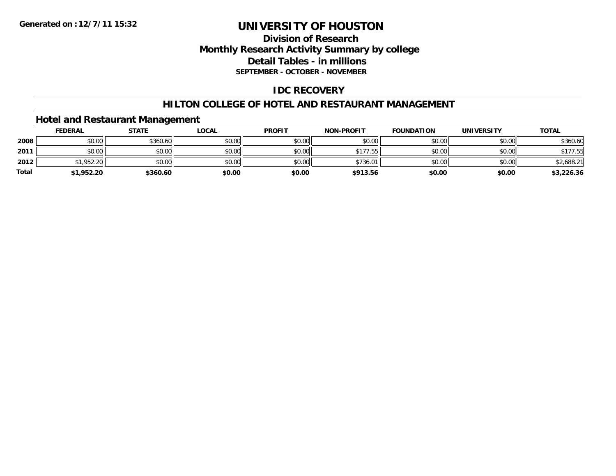### **Division of ResearchMonthly Research Activity Summary by college Detail Tables - in millions SEPTEMBER - OCTOBER - NOVEMBER**

### **IDC RECOVERY**

### **HILTON COLLEGE OF HOTEL AND RESTAURANT MANAGEMENT**

### **Hotel and Restaurant Management**

|              | <b>FEDERAL</b> | <b>STATE</b> | <b>LOCAL</b> | <b>PROFIT</b> | <b>NON-PROFIT</b> | <b>FOUNDATION</b> | <b>UNIVERSITY</b> | <b>TOTAL</b> |
|--------------|----------------|--------------|--------------|---------------|-------------------|-------------------|-------------------|--------------|
| 2008         | \$0.00         | \$360.60     | \$0.00       | \$0.00        | \$0.00            | \$0.00            | \$0.00            | \$360.60     |
| 2011         | \$0.00         | \$0.00       | \$0.00       | \$0.00        | \$177.55          | \$0.00            | \$0.00            | \$177.55     |
| 2012         | 51.952.20      | \$0.00       | \$0.00       | \$0.00        | \$736.01          | \$0.00            | \$0.00            | \$2,688.21   |
| <b>Total</b> | \$1,952.20     | \$360.60     | \$0.00       | \$0.00        | \$913.56          | \$0.00            | \$0.00            | \$3,226.36   |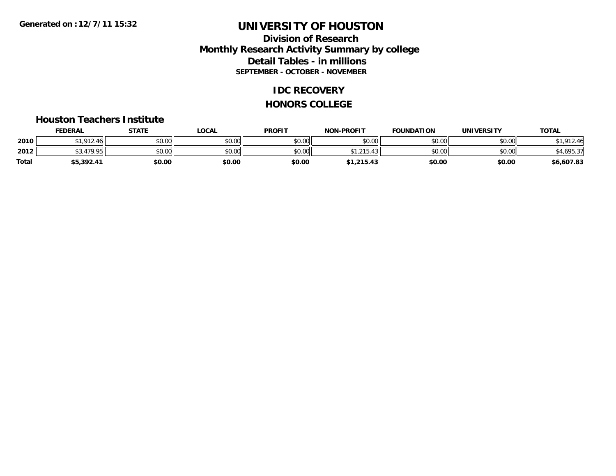### **Division of ResearchMonthly Research Activity Summary by college Detail Tables - in millions SEPTEMBER - OCTOBER - NOVEMBER**

#### **IDC RECOVERY**

#### **HONORS COLLEGE**

#### **Houston Teachers Institute**

|       | <b>FEDERAL</b>    | <b>STATE</b> | LOCAL  | <b>PROFIT</b> | <b>NON-PROFIT</b>              | <b>FOUNDATION</b> | <b>UNIVERSITY</b> | <b>TOTAL</b> |
|-------|-------------------|--------------|--------|---------------|--------------------------------|-------------------|-------------------|--------------|
| 2010  | 012<br>$\sqrt{ }$ | \$0.00       | \$0.00 | \$0.00        | \$0.00                         | \$0.00            | \$0.00            | 212.46       |
| 2012  | <b>470 OF</b>     | \$0.00       | \$0.00 | \$0.00        | 0.4F<br>$^{\star}$<br>، ب ۱ ک، | \$0.00            | \$0.00            | \$4,695.37   |
| Total | 55,392.41         | \$0.00       | \$0.00 | \$0.00        | \$1,215.43                     | \$0.00            | \$0.00            | \$6,607.83   |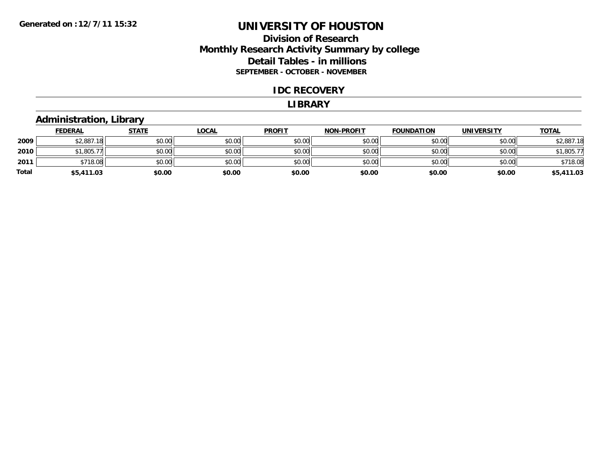### **Division of Research Monthly Research Activity Summary by college Detail Tables - in millions SEPTEMBER - OCTOBER - NOVEMBER**

#### **IDC RECOVERY**

#### **LIBRARY**

### **Administration, Library**

|       | <b>FEDERAL</b> | <b>STATE</b> | <b>LOCAL</b> | <b>PROFIT</b> | <b>NON-PROFIT</b> | <b>FOUNDATION</b> | <b>UNIVERSITY</b> | <b>TOTAL</b> |
|-------|----------------|--------------|--------------|---------------|-------------------|-------------------|-------------------|--------------|
| 2009  | \$2,887.18     | \$0.00       | \$0.00       | \$0.00        | \$0.00            | \$0.00            | \$0.00            | \$2,887.18   |
| 2010  | \$1,805.77     | \$0.00       | \$0.00       | \$0.00        | \$0.00            | \$0.00            | \$0.00            | \$1,805.77   |
| 2011  | \$718.08       | \$0.00       | \$0.00       | \$0.00        | \$0.00            | \$0.00            | \$0.00            | \$718.08     |
| Total | \$5,411.03     | \$0.00       | \$0.00       | \$0.00        | \$0.00            | \$0.00            | \$0.00            | \$5,411.03   |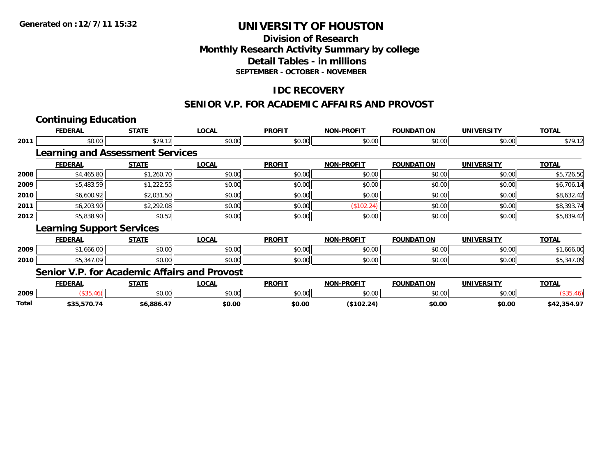### **Division of ResearchMonthly Research Activity Summary by college Detail Tables - in millionsSEPTEMBER - OCTOBER - NOVEMBER**

### **IDC RECOVERY**

#### **SENIOR V.P. FOR ACADEMIC AFFAIRS AND PROVOST**

# **Continuing Education**

|      | <b>FEDERAL</b>                   | <b>STATE</b>                            | <b>LOCAL</b> | <b>PROFIT</b> | <b>NON-PROFIT</b> | <b>FOUNDATION</b> | <b>UNIVERSITY</b> | <b>TOTAL</b> |
|------|----------------------------------|-----------------------------------------|--------------|---------------|-------------------|-------------------|-------------------|--------------|
| 2011 | \$0.00                           | \$79.12                                 | \$0.00       | \$0.00        | \$0.00            | \$0.00            | \$0.00            | \$79.12      |
|      |                                  | <b>Learning and Assessment Services</b> |              |               |                   |                   |                   |              |
|      | <b>FEDERAL</b>                   | <b>STATE</b>                            | <b>LOCAL</b> | <b>PROFIT</b> | <b>NON-PROFIT</b> | <b>FOUNDATION</b> | <b>UNIVERSITY</b> | <b>TOTAL</b> |
| 2008 | \$4,465.80                       | \$1,260.70                              | \$0.00       | \$0.00        | \$0.00            | \$0.00            | \$0.00            | \$5,726.50   |
| 2009 | \$5,483.59                       | \$1,222.55                              | \$0.00       | \$0.00        | \$0.00            | \$0.00            | \$0.00            | \$6,706.14   |
| 2010 | \$6,600.92                       | \$2,031.50                              | \$0.00       | \$0.00        | \$0.00            | \$0.00            | \$0.00            | \$8,632.42   |
| 2011 | \$6,203.90                       | \$2,292.08                              | \$0.00       | \$0.00        | (\$102.24)        | \$0.00            | \$0.00            | \$8,393.74   |
| 2012 | \$5,838.90                       | \$0.52                                  | \$0.00       | \$0.00        | \$0.00            | \$0.00            | \$0.00            | \$5,839.42   |
|      | <b>Learning Support Services</b> |                                         |              |               |                   |                   |                   |              |
|      | <b>FEDERAL</b>                   | <b>STATE</b>                            | <b>LOCAL</b> | <b>PROFIT</b> | <b>NON-PROFIT</b> | <b>FOUNDATION</b> | <b>UNIVERSITY</b> | <b>TOTAL</b> |
| 2009 | \$1,666.00                       | \$0.00                                  | \$0.00       | \$0.00        | \$0.00            | \$0.00            | \$0.00            | \$1,666.00   |
| 2010 | \$5,347.09                       | \$0.00                                  | \$0.00       | \$0.00        | \$0.00            | \$0.00            | \$0.00            | \$5,347.09   |
|      | --- -                            | - -- -                                  |              |               |                   |                   |                   |              |

#### **Senior V.P. for Academic Affairs and Provost**

|       | EENEDAI<br>'LNN | CTATE          | OCM              | <b>PROFIT</b> | -PROFTT<br>NON         | NATTON          | UNIVERSITY | <b>TOTA</b>          |
|-------|-----------------|----------------|------------------|---------------|------------------------|-----------------|------------|----------------------|
| 2009  |                 | ሶስ ስስ<br>DU.UU | 0.00<br>ືມປ.ປ∪∟. | \$0.00        | $\sim$ 00<br>. UU<br>ັ | $\circ$ $\circ$ | \$0.00     |                      |
| Total | ----            | .coc           | \$0.00           | \$0.00        |                        | \$0.00          | \$0.00     | רח ופו<br>כ דע<br>-- |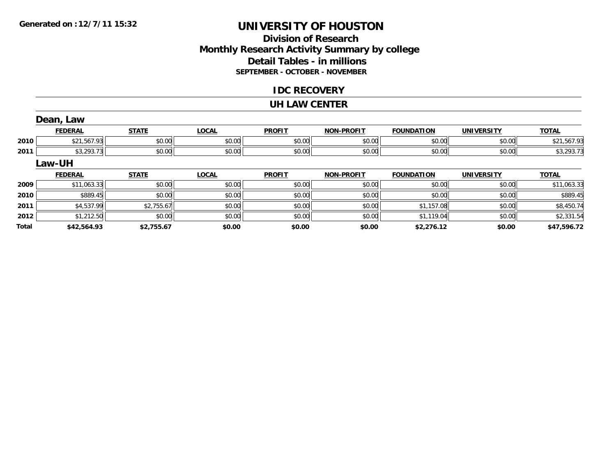### **Division of ResearchMonthly Research Activity Summary by college Detail Tables - in millions SEPTEMBER - OCTOBER - NOVEMBER**

#### **IDC RECOVERY**

#### **UH LAW CENTER**

|              | Dean, Law      |              |              |               |                   |                   |                   |              |
|--------------|----------------|--------------|--------------|---------------|-------------------|-------------------|-------------------|--------------|
|              | <b>FEDERAL</b> | <b>STATE</b> | <b>LOCAL</b> | <b>PROFIT</b> | <b>NON-PROFIT</b> | <b>FOUNDATION</b> | <b>UNIVERSITY</b> | <b>TOTAL</b> |
| 2010         | \$21,567.93    | \$0.00       | \$0.00       | \$0.00        | \$0.00            | \$0.00            | \$0.00            | \$21,567.93  |
| 2011         | \$3,293.73     | \$0.00       | \$0.00       | \$0.00        | \$0.00            | \$0.00            | \$0.00            | \$3,293.73   |
|              | <b>Law-UH</b>  |              |              |               |                   |                   |                   |              |
|              | <b>FEDERAL</b> | <b>STATE</b> | <b>LOCAL</b> | <b>PROFIT</b> | <b>NON-PROFIT</b> | <b>FOUNDATION</b> | <b>UNIVERSITY</b> | <b>TOTAL</b> |
| 2009         | \$11,063.33    | \$0.00       | \$0.00       | \$0.00        | \$0.00            | \$0.00            | \$0.00            | \$11,063.33  |
| 2010         | \$889.45       | \$0.00       | \$0.00       | \$0.00        | \$0.00            | \$0.00            | \$0.00            | \$889.45     |
| 2011         | \$4,537.99     | \$2,755.67   | \$0.00       | \$0.00        | \$0.00            | \$1,157.08        | \$0.00            | \$8,450.74   |
| 2012         | \$1,212.50     | \$0.00       | \$0.00       | \$0.00        | \$0.00            | \$1,119.04        | \$0.00            | \$2,331.54   |
| <b>Total</b> | \$42,564.93    | \$2,755.67   | \$0.00       | \$0.00        | \$0.00            | \$2,276.12        | \$0.00            | \$47,596.72  |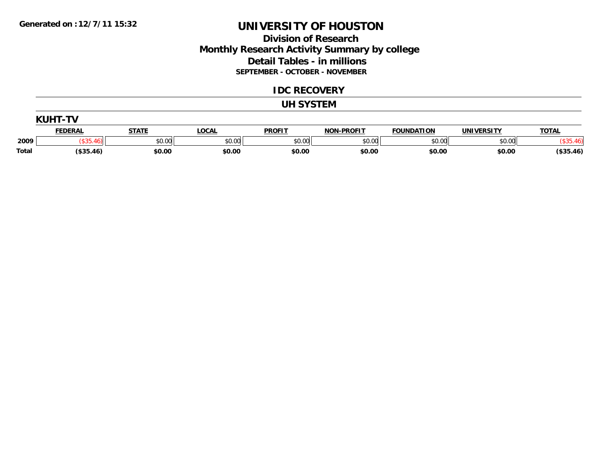### **Division of Research Monthly Research Activity Summary by college Detail Tables - in millions SEPTEMBER - OCTOBER - NOVEMBER**

#### **IDC RECOVERY**

#### **UH SYSTEM**

|              | <b>KUHT-TV</b> |              |              |               |                   |                   |                   |              |  |  |
|--------------|----------------|--------------|--------------|---------------|-------------------|-------------------|-------------------|--------------|--|--|
|              | <b>FEDERAL</b> | <b>STATE</b> | <b>LOCAL</b> | <b>PROFIT</b> | <b>NON-PROFIT</b> | <b>FOUNDATION</b> | <b>UNIVERSITY</b> | <b>TOTAL</b> |  |  |
| 2009         |                | \$0.00       | \$0.00       | \$0.00        | \$0.00            | \$0.00            | \$0.00            |              |  |  |
| <b>Total</b> | $($ \$35.46)   | \$0.00       | \$0.00       | \$0.00        | \$0.00            | \$0.00            | \$0.00            | (\$35.46)    |  |  |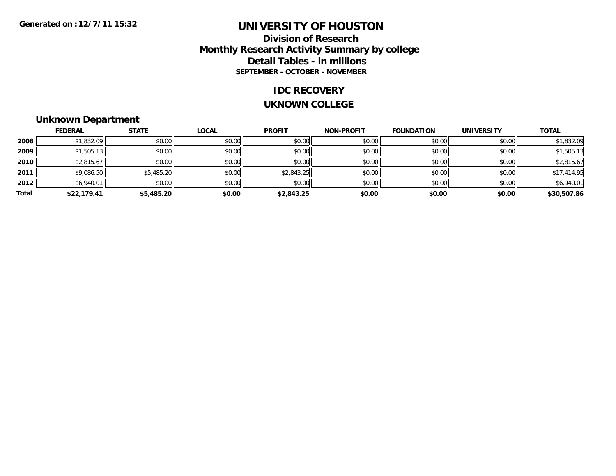### **Division of ResearchMonthly Research Activity Summary by college Detail Tables - in millions SEPTEMBER - OCTOBER - NOVEMBER**

#### **IDC RECOVERY**

#### **UKNOWN COLLEGE**

### **Unknown Department**

|       | <b>FEDERAL</b> | <b>STATE</b> | <b>LOCAL</b> | <b>PROFIT</b> | <b>NON-PROFIT</b> | <b>FOUNDATION</b> | <b>UNIVERSITY</b> | <b>TOTAL</b> |
|-------|----------------|--------------|--------------|---------------|-------------------|-------------------|-------------------|--------------|
| 2008  | \$1,832.09     | \$0.00       | \$0.00       | \$0.00        | \$0.00            | \$0.00            | \$0.00            | \$1,832.09   |
| 2009  | \$1,505.13     | \$0.00       | \$0.00       | \$0.00        | \$0.00            | \$0.00            | \$0.00            | \$1,505.13   |
| 2010  | \$2,815.67     | \$0.00       | \$0.00       | \$0.00        | \$0.00            | \$0.00            | \$0.00            | \$2,815.67   |
| 2011  | \$9,086.50     | \$5,485.20   | \$0.00       | \$2,843.25    | \$0.00            | \$0.00            | \$0.00            | \$17,414.95  |
| 2012  | \$6,940.01     | \$0.00       | \$0.00       | \$0.00        | \$0.00            | \$0.00            | \$0.00            | \$6,940.01   |
| Total | \$22,179.41    | \$5,485.20   | \$0.00       | \$2,843.25    | \$0.00            | \$0.00            | \$0.00            | \$30,507.86  |